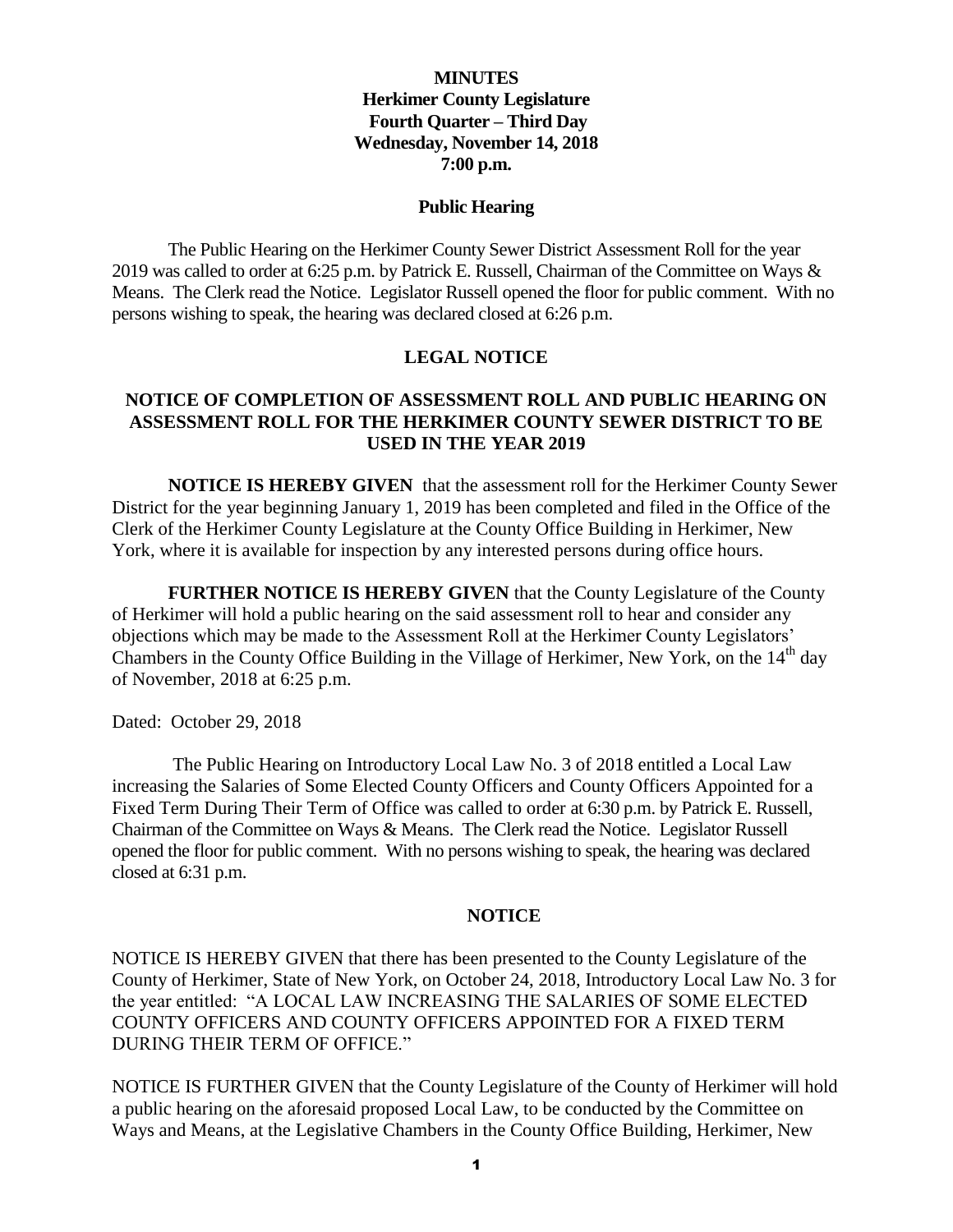### **MINUTES Herkimer County Legislature Fourth Quarter – Third Day Wednesday, November 14, 2018 7:00 p.m.**

#### **Public Hearing**

The Public Hearing on the Herkimer County Sewer District Assessment Roll for the year 2019 was called to order at 6:25 p.m. by Patrick E. Russell, Chairman of the Committee on Ways & Means. The Clerk read the Notice. Legislator Russell opened the floor for public comment. With no persons wishing to speak, the hearing was declared closed at 6:26 p.m.

#### **LEGAL NOTICE**

#### **NOTICE OF COMPLETION OF ASSESSMENT ROLL AND PUBLIC HEARING ON ASSESSMENT ROLL FOR THE HERKIMER COUNTY SEWER DISTRICT TO BE USED IN THE YEAR 2019**

**NOTICE IS HEREBY GIVEN** that the assessment roll for the Herkimer County Sewer District for the year beginning January 1, 2019 has been completed and filed in the Office of the Clerk of the Herkimer County Legislature at the County Office Building in Herkimer, New York, where it is available for inspection by any interested persons during office hours.

**FURTHER NOTICE IS HEREBY GIVEN** that the County Legislature of the County of Herkimer will hold a public hearing on the said assessment roll to hear and consider any objections which may be made to the Assessment Roll at the Herkimer County Legislators' Chambers in the County Office Building in the Village of Herkimer, New York, on the  $14<sup>th</sup>$  day of November, 2018 at 6:25 p.m.

Dated: October 29, 2018

The Public Hearing on Introductory Local Law No. 3 of 2018 entitled a Local Law increasing the Salaries of Some Elected County Officers and County Officers Appointed for a Fixed Term During Their Term of Office was called to order at 6:30 p.m. by Patrick E. Russell, Chairman of the Committee on Ways & Means. The Clerk read the Notice. Legislator Russell opened the floor for public comment. With no persons wishing to speak, the hearing was declared closed at 6:31 p.m.

#### **NOTICE**

NOTICE IS HEREBY GIVEN that there has been presented to the County Legislature of the County of Herkimer, State of New York, on October 24, 2018, Introductory Local Law No. 3 for the year entitled: "A LOCAL LAW INCREASING THE SALARIES OF SOME ELECTED COUNTY OFFICERS AND COUNTY OFFICERS APPOINTED FOR A FIXED TERM DURING THEIR TERM OF OFFICE."

NOTICE IS FURTHER GIVEN that the County Legislature of the County of Herkimer will hold a public hearing on the aforesaid proposed Local Law, to be conducted by the Committee on Ways and Means, at the Legislative Chambers in the County Office Building, Herkimer, New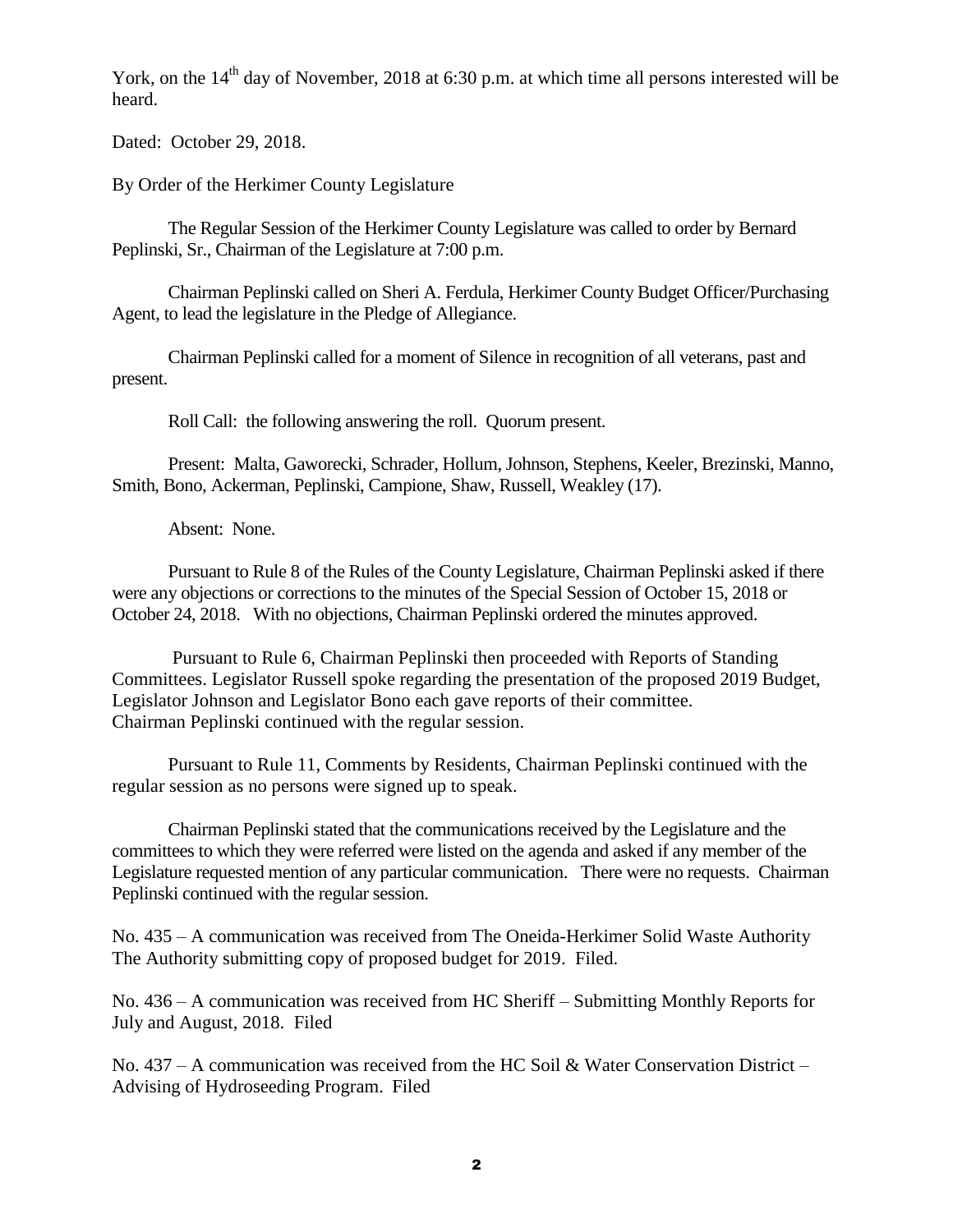York, on the  $14<sup>th</sup>$  day of November, 2018 at 6:30 p.m. at which time all persons interested will be heard.

Dated: October 29, 2018.

By Order of the Herkimer County Legislature

The Regular Session of the Herkimer County Legislature was called to order by Bernard Peplinski, Sr., Chairman of the Legislature at 7:00 p.m.

Chairman Peplinski called on Sheri A. Ferdula, Herkimer County Budget Officer/Purchasing Agent, to lead the legislature in the Pledge of Allegiance.

Chairman Peplinski called for a moment of Silence in recognition of all veterans, past and present.

Roll Call: the following answering the roll. Quorum present.

Present: Malta, Gaworecki, Schrader, Hollum, Johnson, Stephens, Keeler, Brezinski, Manno, Smith, Bono, Ackerman, Peplinski, Campione, Shaw, Russell, Weakley (17).

Absent: None.

Pursuant to Rule 8 of the Rules of the County Legislature, Chairman Peplinski asked if there were any objections or corrections to the minutes of the Special Session of October 15, 2018 or October 24, 2018. With no objections, Chairman Peplinski ordered the minutes approved.

Pursuant to Rule 6, Chairman Peplinski then proceeded with Reports of Standing Committees. Legislator Russell spoke regarding the presentation of the proposed 2019 Budget, Legislator Johnson and Legislator Bono each gave reports of their committee. Chairman Peplinski continued with the regular session.

Pursuant to Rule 11, Comments by Residents, Chairman Peplinski continued with the regular session as no persons were signed up to speak.

Chairman Peplinski stated that the communications received by the Legislature and the committees to which they were referred were listed on the agenda and asked if any member of the Legislature requested mention of any particular communication. There were no requests. Chairman Peplinski continued with the regular session.

No. 435 – A communication was received from The Oneida-Herkimer Solid Waste Authority The Authority submitting copy of proposed budget for 2019. Filed.

No. 436 – A communication was received from HC Sheriff – Submitting Monthly Reports for July and August, 2018. Filed

No. 437 – A communication was received from the HC Soil & Water Conservation District – Advising of Hydroseeding Program. Filed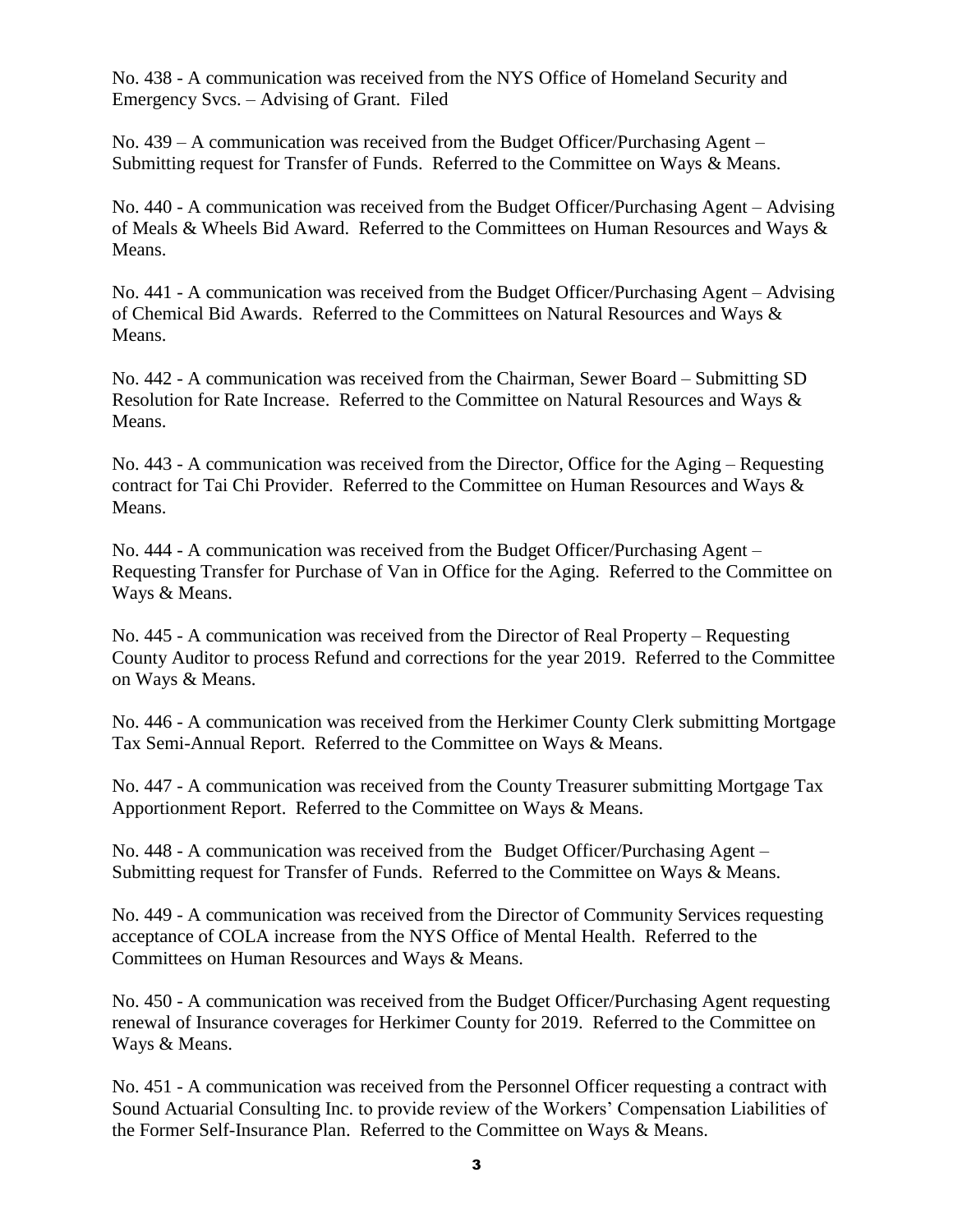No. 438 - A communication was received from the NYS Office of Homeland Security and Emergency Svcs. – Advising of Grant. Filed

No. 439 – A communication was received from the Budget Officer/Purchasing Agent – Submitting request for Transfer of Funds. Referred to the Committee on Ways & Means.

No. 440 - A communication was received from the Budget Officer/Purchasing Agent – Advising of Meals & Wheels Bid Award. Referred to the Committees on Human Resources and Ways & Means.

No. 441 - A communication was received from the Budget Officer/Purchasing Agent – Advising of Chemical Bid Awards. Referred to the Committees on Natural Resources and Ways & Means.

No. 442 - A communication was received from the Chairman, Sewer Board – Submitting SD Resolution for Rate Increase. Referred to the Committee on Natural Resources and Ways & Means.

No. 443 - A communication was received from the Director, Office for the Aging – Requesting contract for Tai Chi Provider. Referred to the Committee on Human Resources and Ways & Means.

No. 444 - A communication was received from the Budget Officer/Purchasing Agent – Requesting Transfer for Purchase of Van in Office for the Aging. Referred to the Committee on Ways & Means.

No. 445 - A communication was received from the Director of Real Property – Requesting County Auditor to process Refund and corrections for the year 2019. Referred to the Committee on Ways & Means.

No. 446 - A communication was received from the Herkimer County Clerk submitting Mortgage Tax Semi-Annual Report. Referred to the Committee on Ways & Means.

No. 447 - A communication was received from the County Treasurer submitting Mortgage Tax Apportionment Report. Referred to the Committee on Ways & Means.

No. 448 - A communication was received from the Budget Officer/Purchasing Agent – Submitting request for Transfer of Funds. Referred to the Committee on Ways & Means.

No. 449 - A communication was received from the Director of Community Services requesting acceptance of COLA increase from the NYS Office of Mental Health. Referred to the Committees on Human Resources and Ways & Means.

No. 450 - A communication was received from the Budget Officer/Purchasing Agent requesting renewal of Insurance coverages for Herkimer County for 2019. Referred to the Committee on Ways & Means.

No. 451 - A communication was received from the Personnel Officer requesting a contract with Sound Actuarial Consulting Inc. to provide review of the Workers' Compensation Liabilities of the Former Self-Insurance Plan. Referred to the Committee on Ways & Means.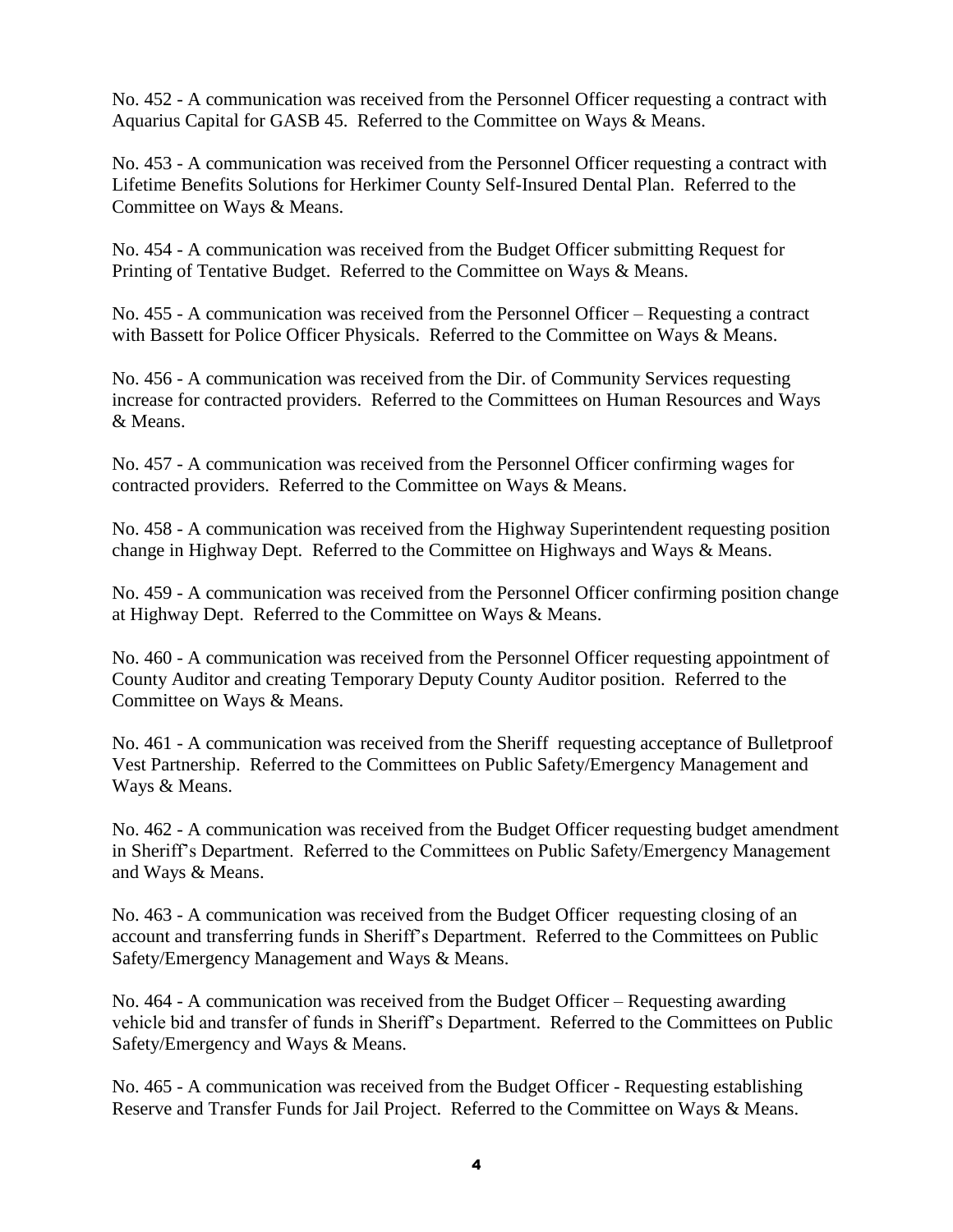No. 452 - A communication was received from the Personnel Officer requesting a contract with Aquarius Capital for GASB 45. Referred to the Committee on Ways & Means.

No. 453 - A communication was received from the Personnel Officer requesting a contract with Lifetime Benefits Solutions for Herkimer County Self-Insured Dental Plan. Referred to the Committee on Ways & Means.

No. 454 - A communication was received from the Budget Officer submitting Request for Printing of Tentative Budget. Referred to the Committee on Ways & Means.

No. 455 - A communication was received from the Personnel Officer – Requesting a contract with Bassett for Police Officer Physicals. Referred to the Committee on Ways & Means.

No. 456 - A communication was received from the Dir. of Community Services requesting increase for contracted providers. Referred to the Committees on Human Resources and Ways & Means.

No. 457 - A communication was received from the Personnel Officer confirming wages for contracted providers. Referred to the Committee on Ways & Means.

No. 458 - A communication was received from the Highway Superintendent requesting position change in Highway Dept. Referred to the Committee on Highways and Ways & Means.

No. 459 - A communication was received from the Personnel Officer confirming position change at Highway Dept. Referred to the Committee on Ways & Means.

No. 460 - A communication was received from the Personnel Officer requesting appointment of County Auditor and creating Temporary Deputy County Auditor position. Referred to the Committee on Ways & Means.

No. 461 - A communication was received from the Sheriff requesting acceptance of Bulletproof Vest Partnership. Referred to the Committees on Public Safety/Emergency Management and Ways & Means.

No. 462 - A communication was received from the Budget Officer requesting budget amendment in Sheriff's Department. Referred to the Committees on Public Safety/Emergency Management and Ways & Means.

No. 463 - A communication was received from the Budget Officer requesting closing of an account and transferring funds in Sheriff's Department. Referred to the Committees on Public Safety/Emergency Management and Ways & Means.

No. 464 - A communication was received from the Budget Officer – Requesting awarding vehicle bid and transfer of funds in Sheriff's Department. Referred to the Committees on Public Safety/Emergency and Ways & Means.

No. 465 - A communication was received from the Budget Officer - Requesting establishing Reserve and Transfer Funds for Jail Project. Referred to the Committee on Ways & Means.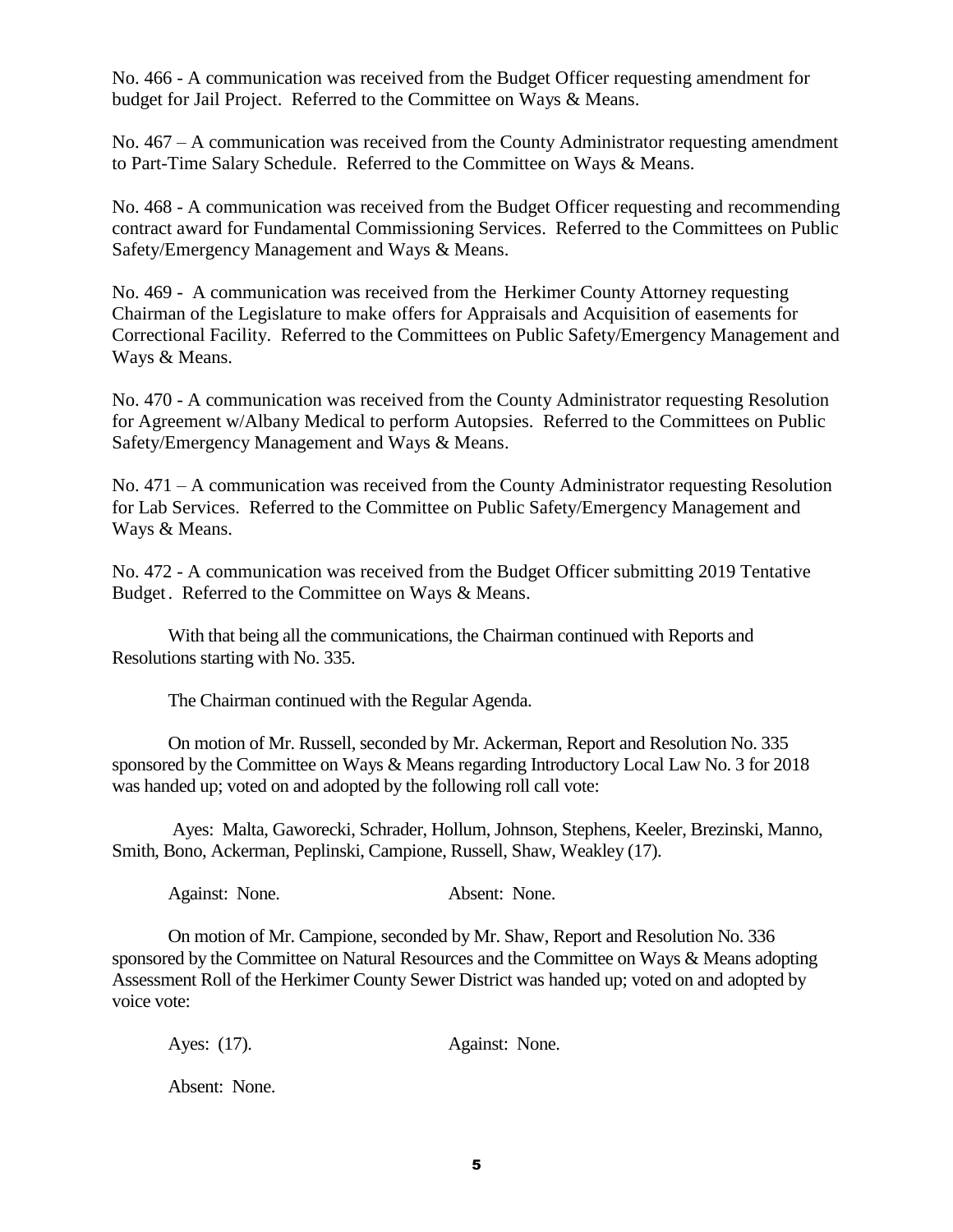No. 466 - A communication was received from the Budget Officer requesting amendment for budget for Jail Project. Referred to the Committee on Ways & Means.

No. 467 – A communication was received from the County Administrator requesting amendment to Part-Time Salary Schedule. Referred to the Committee on Ways & Means.

No. 468 - A communication was received from the Budget Officer requesting and recommending contract award for Fundamental Commissioning Services. Referred to the Committees on Public Safety/Emergency Management and Ways & Means.

No. 469 - A communication was received from the Herkimer County Attorney requesting Chairman of the Legislature to make offers for Appraisals and Acquisition of easements for Correctional Facility. Referred to the Committees on Public Safety/Emergency Management and Ways & Means.

No. 470 - A communication was received from the County Administrator requesting Resolution for Agreement w/Albany Medical to perform Autopsies. Referred to the Committees on Public Safety/Emergency Management and Ways & Means.

No. 471 – A communication was received from the County Administrator requesting Resolution for Lab Services. Referred to the Committee on Public Safety/Emergency Management and Ways & Means.

No. 472 - A communication was received from the Budget Officer submitting 2019 Tentative Budget. Referred to the Committee on Ways & Means.

With that being all the communications, the Chairman continued with Reports and Resolutions starting with No. 335.

The Chairman continued with the Regular Agenda.

On motion of Mr. Russell, seconded by Mr. Ackerman, Report and Resolution No. 335 sponsored by the Committee on Ways & Means regarding Introductory Local Law No. 3 for 2018 was handed up; voted on and adopted by the following roll call vote:

Ayes: Malta, Gaworecki, Schrader, Hollum, Johnson, Stephens, Keeler, Brezinski, Manno, Smith, Bono, Ackerman, Peplinski, Campione, Russell, Shaw, Weakley (17).

Against: None. Absent: None.

On motion of Mr. Campione, seconded by Mr. Shaw, Report and Resolution No. 336 sponsored by the Committee on Natural Resources and the Committee on Ways & Means adopting Assessment Roll of the Herkimer County Sewer District was handed up; voted on and adopted by voice vote:

Ayes: (17). Against: None.

Absent: None.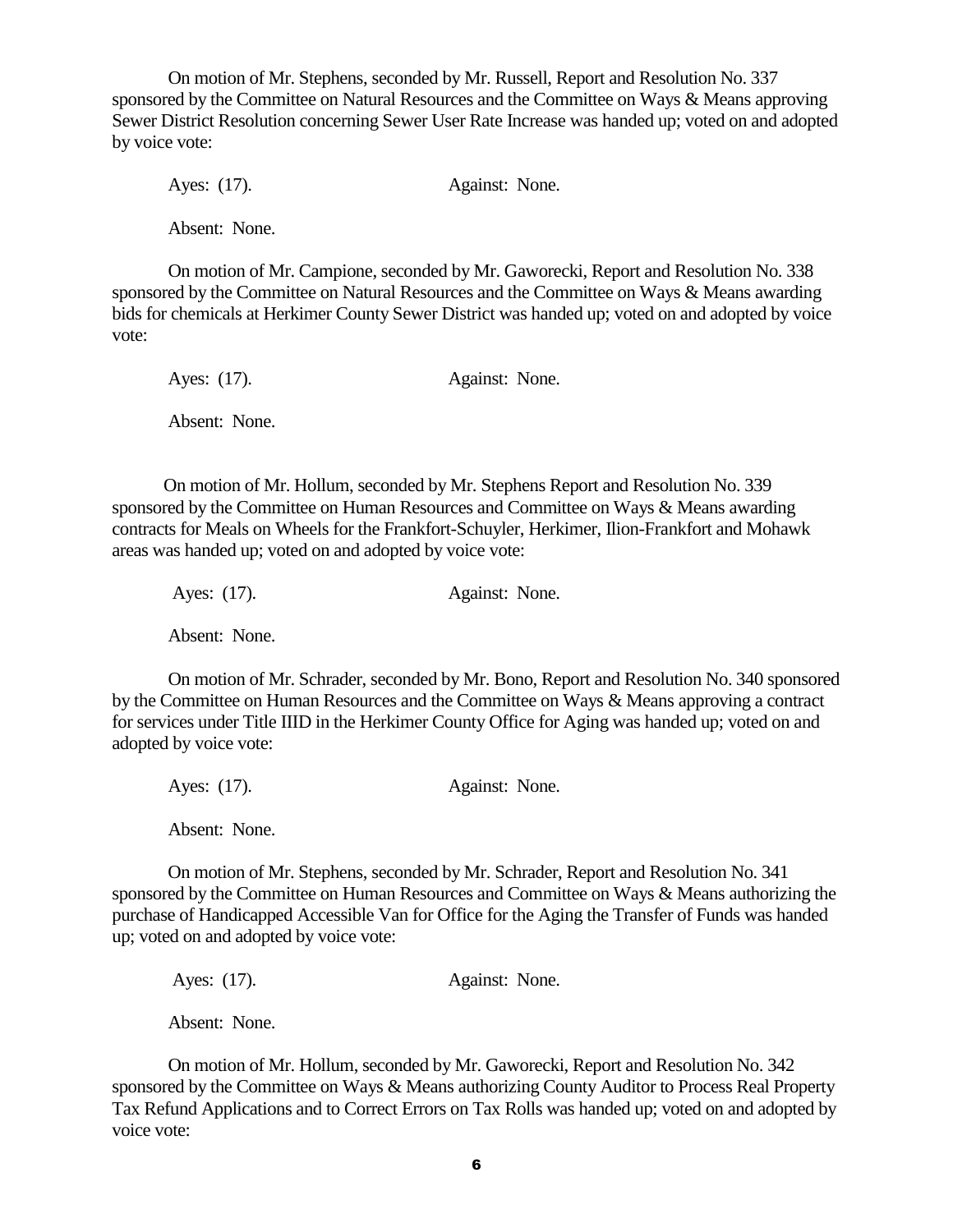On motion of Mr. Stephens, seconded by Mr. Russell, Report and Resolution No. 337 sponsored by the Committee on Natural Resources and the Committee on Ways & Means approving Sewer District Resolution concerning Sewer User Rate Increase was handed up; voted on and adopted by voice vote:

Ayes: (17). Against: None. Absent: None.

On motion of Mr. Campione, seconded by Mr. Gaworecki, Report and Resolution No. 338 sponsored by the Committee on Natural Resources and the Committee on Ways & Means awarding bids for chemicals at Herkimer County Sewer District was handed up; voted on and adopted by voice vote:

Ayes: (17). Against: None. Absent: None.

 On motion of Mr. Hollum, seconded by Mr. Stephens Report and Resolution No. 339 sponsored by the Committee on Human Resources and Committee on Ways & Means awarding contracts for Meals on Wheels for the Frankfort-Schuyler, Herkimer, Ilion-Frankfort and Mohawk areas was handed up; voted on and adopted by voice vote:

Ayes: (17). Against: None. Absent: None.

On motion of Mr. Schrader, seconded by Mr. Bono, Report and Resolution No. 340 sponsored by the Committee on Human Resources and the Committee on Ways & Means approving a contract for services under Title IIID in the Herkimer County Office for Aging was handed up; voted on and adopted by voice vote:

Ayes: (17). Against: None. Absent: None.

 On motion of Mr. Stephens, seconded by Mr. Schrader, Report and Resolution No. 341 sponsored by the Committee on Human Resources and Committee on Ways & Means authorizing the purchase of Handicapped Accessible Van for Office for the Aging the Transfer of Funds was handed up; voted on and adopted by voice vote:

Ayes: (17). Against: None.

Absent: None.

On motion of Mr. Hollum, seconded by Mr. Gaworecki, Report and Resolution No. 342 sponsored by the Committee on Ways & Means authorizing County Auditor to Process Real Property Tax Refund Applications and to Correct Errors on Tax Rolls was handed up; voted on and adopted by voice vote: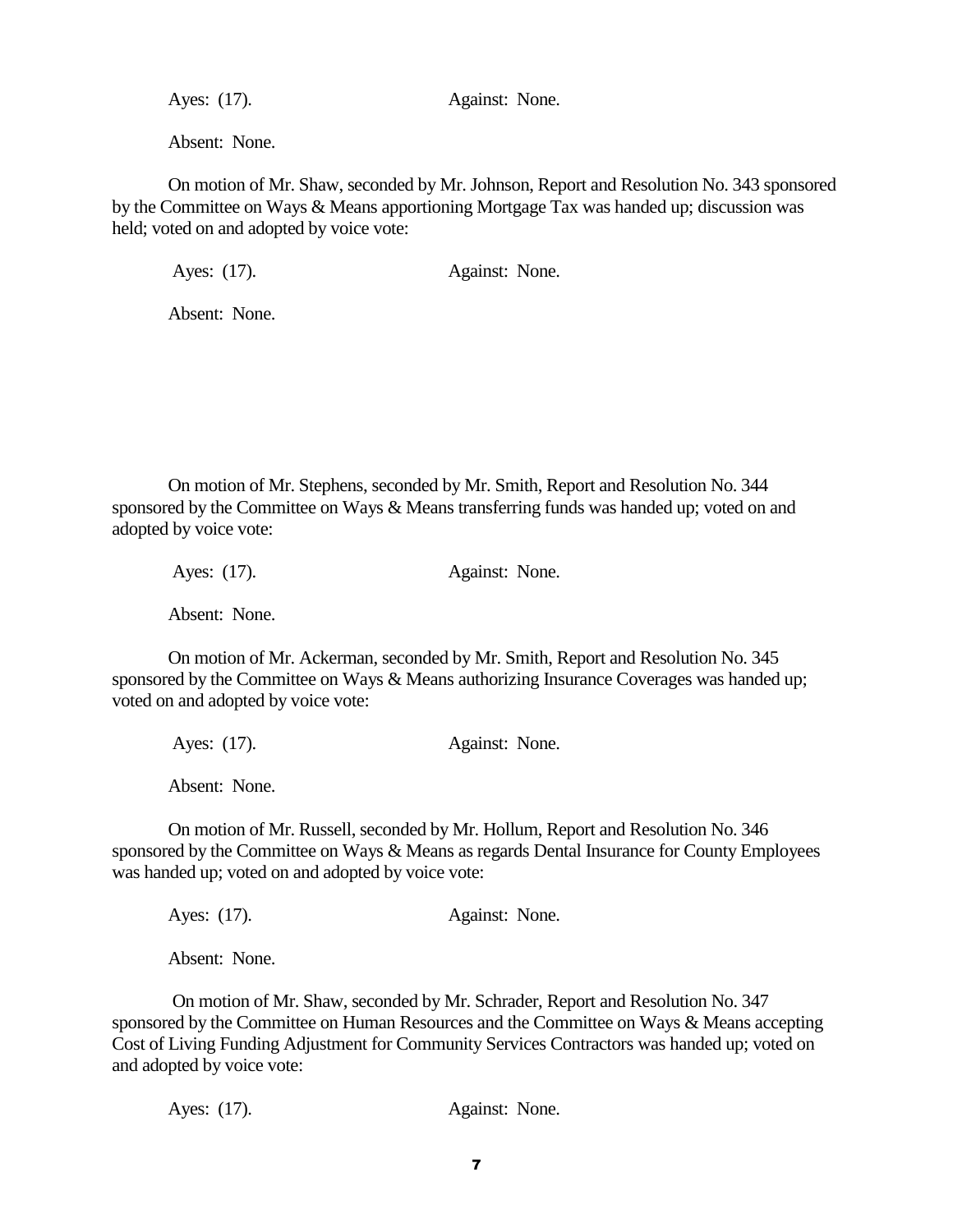Ayes: (17). Against: None.

Absent: None.

On motion of Mr. Shaw, seconded by Mr. Johnson, Report and Resolution No. 343 sponsored by the Committee on Ways & Means apportioning Mortgage Tax was handed up; discussion was held; voted on and adopted by voice vote:

Ayes: (17). Against: None.

Absent: None.

On motion of Mr. Stephens, seconded by Mr. Smith, Report and Resolution No. 344 sponsored by the Committee on Ways & Means transferring funds was handed up; voted on and adopted by voice vote:

Ayes: (17). Against: None.

Absent: None.

On motion of Mr. Ackerman, seconded by Mr. Smith, Report and Resolution No. 345 sponsored by the Committee on Ways & Means authorizing Insurance Coverages was handed up; voted on and adopted by voice vote:

Ayes: (17). Against: None.

Absent: None.

On motion of Mr. Russell, seconded by Mr. Hollum, Report and Resolution No. 346 sponsored by the Committee on Ways & Means as regards Dental Insurance for County Employees was handed up; voted on and adopted by voice vote:

Ayes: (17). Against: None.

Absent: None.

On motion of Mr. Shaw, seconded by Mr. Schrader, Report and Resolution No. 347 sponsored by the Committee on Human Resources and the Committee on Ways & Means accepting Cost of Living Funding Adjustment for Community Services Contractors was handed up; voted on and adopted by voice vote:

Ayes: (17). Against: None.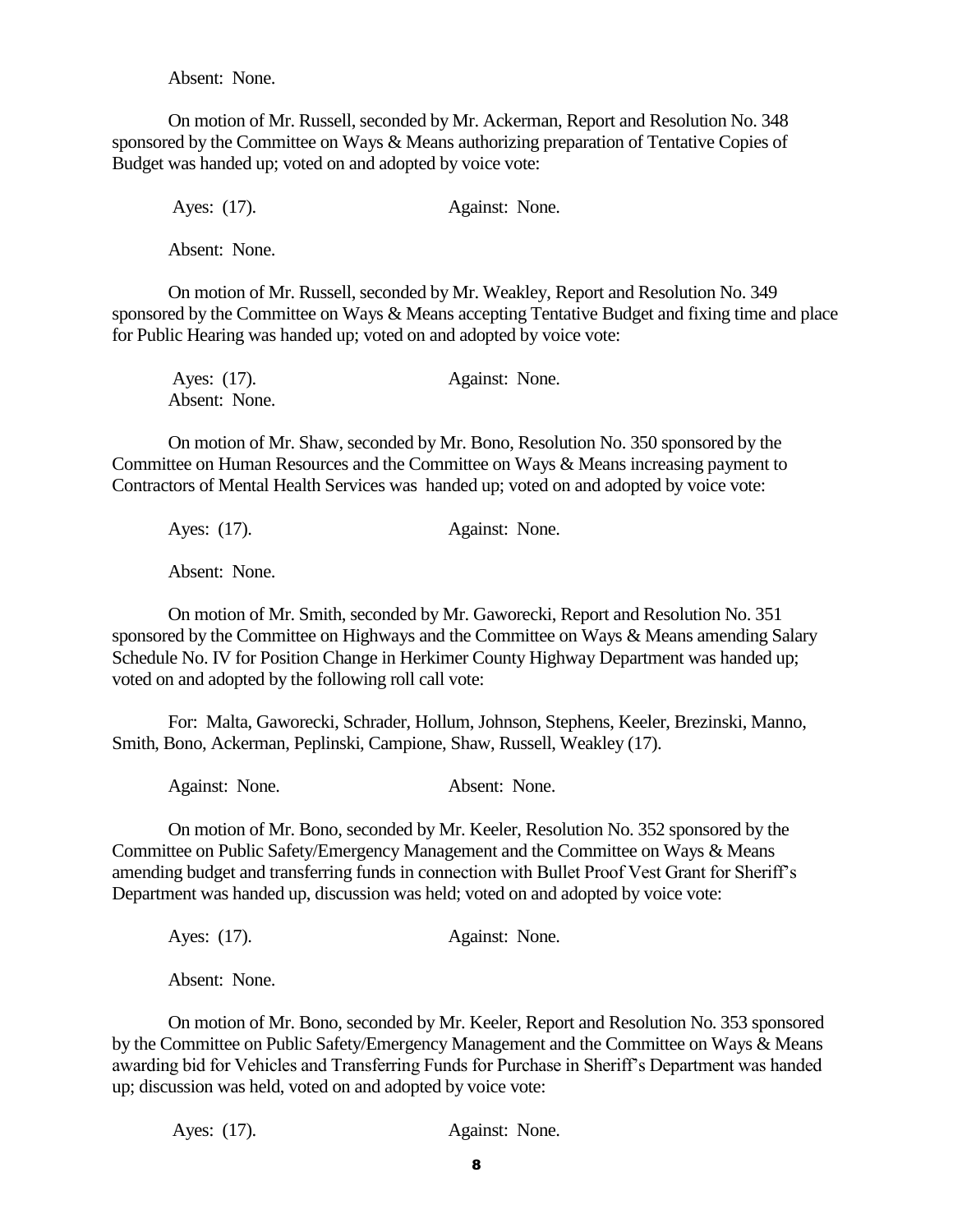Absent: None.

On motion of Mr. Russell, seconded by Mr. Ackerman, Report and Resolution No. 348 sponsored by the Committee on Ways & Means authorizing preparation of Tentative Copies of Budget was handed up; voted on and adopted by voice vote:

Ayes: (17). Against: None.

Absent: None.

On motion of Mr. Russell, seconded by Mr. Weakley, Report and Resolution No. 349 sponsored by the Committee on Ways & Means accepting Tentative Budget and fixing time and place for Public Hearing was handed up; voted on and adopted by voice vote:

| Ayes: (17).   | Against: None. |  |
|---------------|----------------|--|
| Absent: None. |                |  |

On motion of Mr. Shaw, seconded by Mr. Bono, Resolution No. 350 sponsored by the Committee on Human Resources and the Committee on Ways & Means increasing payment to Contractors of Mental Health Services was handed up; voted on and adopted by voice vote:

Ayes: (17). Against: None.

Absent: None.

On motion of Mr. Smith, seconded by Mr. Gaworecki, Report and Resolution No. 351 sponsored by the Committee on Highways and the Committee on Ways & Means amending Salary Schedule No. IV for Position Change in Herkimer County Highway Department was handed up; voted on and adopted by the following roll call vote:

For: Malta, Gaworecki, Schrader, Hollum, Johnson, Stephens, Keeler, Brezinski, Manno, Smith, Bono, Ackerman, Peplinski, Campione, Shaw, Russell, Weakley (17).

Against: None. Absent: None.

On motion of Mr. Bono, seconded by Mr. Keeler, Resolution No. 352 sponsored by the Committee on Public Safety/Emergency Management and the Committee on Ways & Means amending budget and transferring funds in connection with Bullet Proof Vest Grant for Sheriff's Department was handed up, discussion was held; voted on and adopted by voice vote:

Ayes: (17). Against: None.

Absent: None.

On motion of Mr. Bono, seconded by Mr. Keeler, Report and Resolution No. 353 sponsored by the Committee on Public Safety/Emergency Management and the Committee on Ways & Means awarding bid for Vehicles and Transferring Funds for Purchase in Sheriff's Department was handed up; discussion was held, voted on and adopted by voice vote: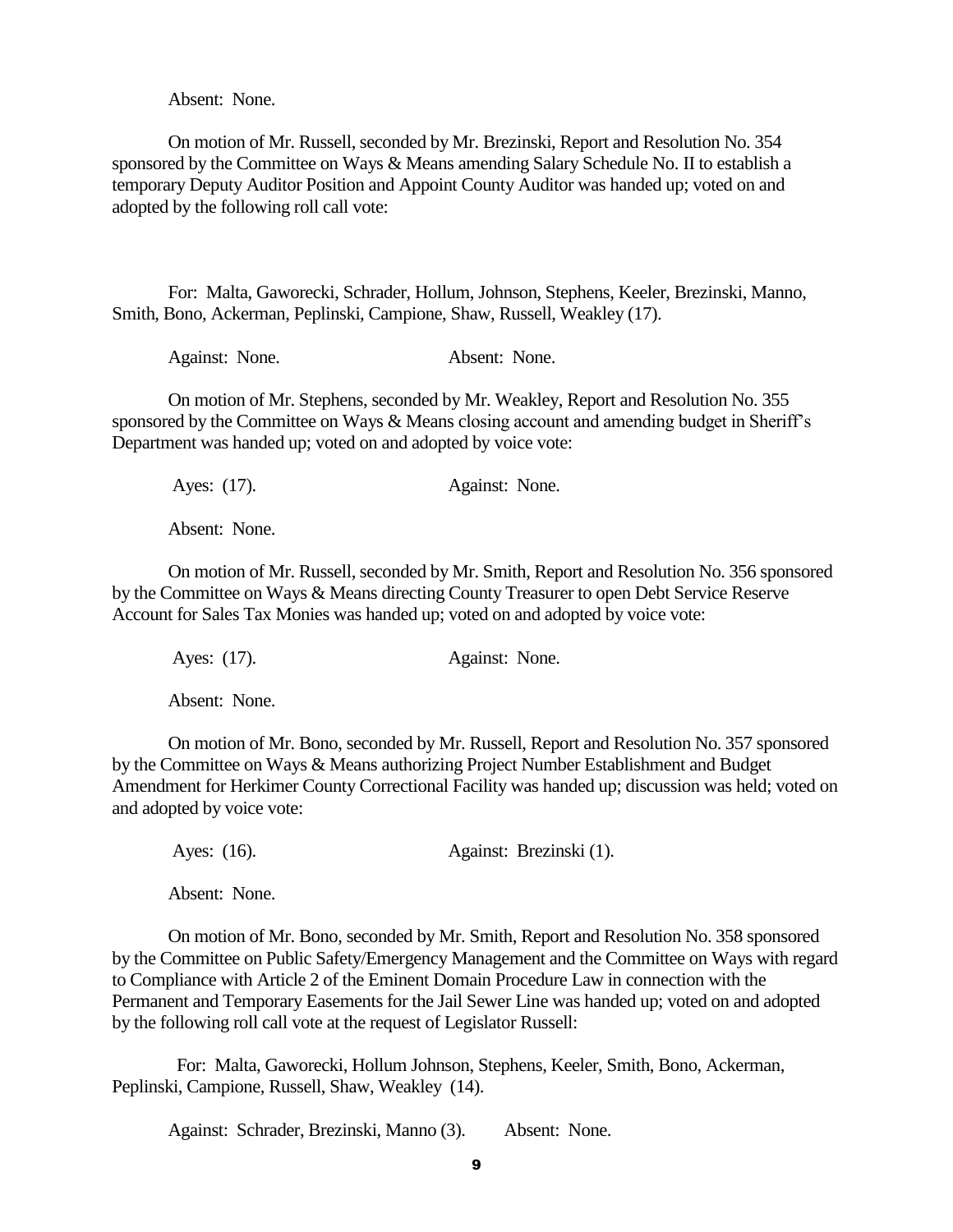Absent: None.

On motion of Mr. Russell, seconded by Mr. Brezinski, Report and Resolution No. 354 sponsored by the Committee on Ways & Means amending Salary Schedule No. II to establish a temporary Deputy Auditor Position and Appoint County Auditor was handed up; voted on and adopted by the following roll call vote:

For: Malta, Gaworecki, Schrader, Hollum, Johnson, Stephens, Keeler, Brezinski, Manno, Smith, Bono, Ackerman, Peplinski, Campione, Shaw, Russell, Weakley (17).

| Against: None. | Absent: None. |  |
|----------------|---------------|--|
|----------------|---------------|--|

On motion of Mr. Stephens, seconded by Mr. Weakley, Report and Resolution No. 355 sponsored by the Committee on Ways & Means closing account and amending budget in Sheriff's Department was handed up; voted on and adopted by voice vote:

| Ayes: $(17)$ . | Against: None. |  |
|----------------|----------------|--|
|----------------|----------------|--|

Absent: None.

On motion of Mr. Russell, seconded by Mr. Smith, Report and Resolution No. 356 sponsored by the Committee on Ways & Means directing County Treasurer to open Debt Service Reserve Account for Sales Tax Monies was handed up; voted on and adopted by voice vote:

Ayes: (17). Against: None.

Absent: None.

On motion of Mr. Bono, seconded by Mr. Russell, Report and Resolution No. 357 sponsored by the Committee on Ways & Means authorizing Project Number Establishment and Budget Amendment for Herkimer County Correctional Facility was handed up; discussion was held; voted on and adopted by voice vote:

Ayes: (16). Against: Brezinski (1).

Absent: None.

On motion of Mr. Bono, seconded by Mr. Smith, Report and Resolution No. 358 sponsored by the Committee on Public Safety/Emergency Management and the Committee on Ways with regard to Compliance with Article 2 of the Eminent Domain Procedure Law in connection with the Permanent and Temporary Easements for the Jail Sewer Line was handed up; voted on and adopted by the following roll call vote at the request of Legislator Russell:

 For: Malta, Gaworecki, Hollum Johnson, Stephens, Keeler, Smith, Bono, Ackerman, Peplinski, Campione, Russell, Shaw, Weakley (14).

Against: Schrader, Brezinski, Manno (3). Absent: None.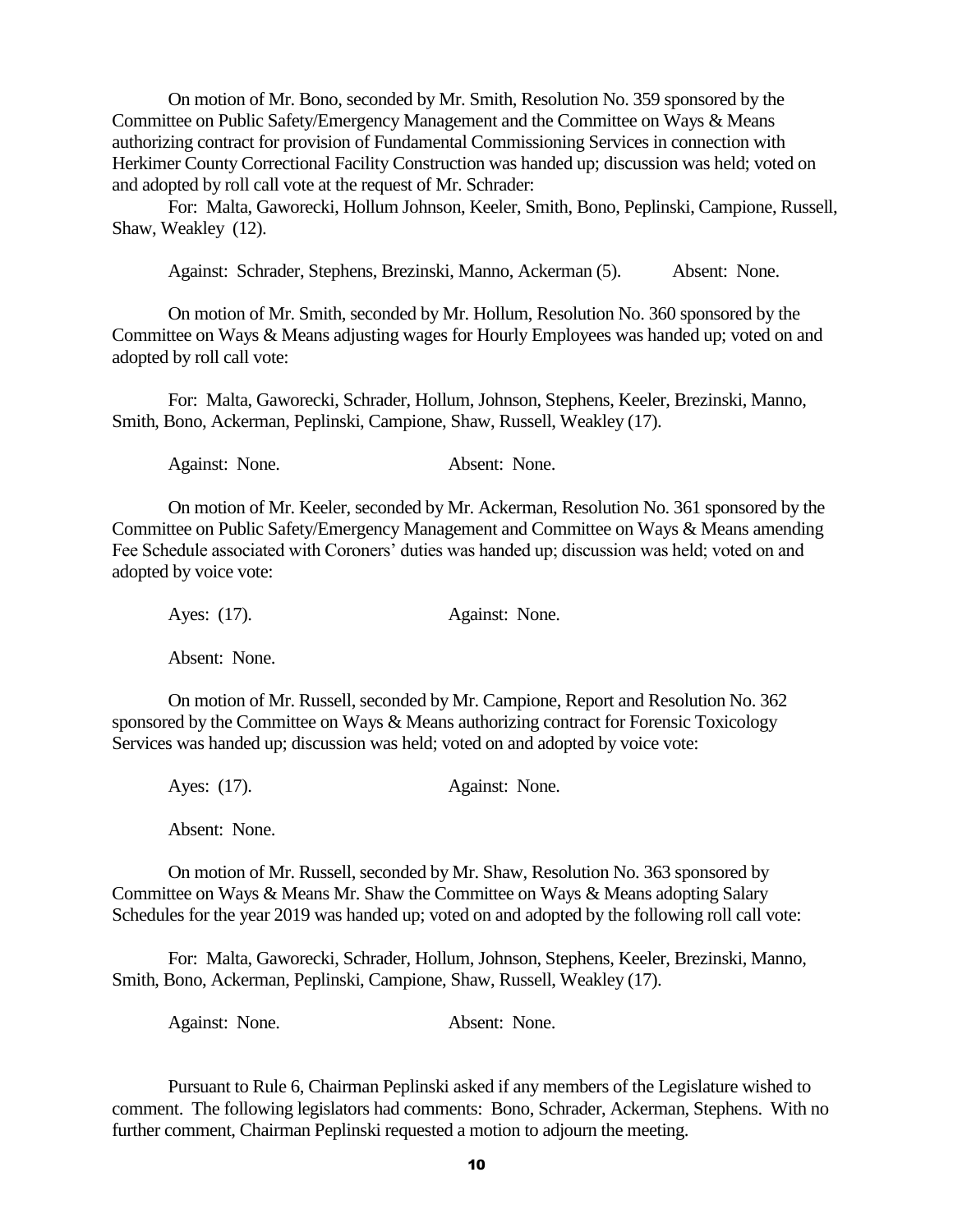On motion of Mr. Bono, seconded by Mr. Smith, Resolution No. 359 sponsored by the Committee on Public Safety/Emergency Management and the Committee on Ways & Means authorizing contract for provision of Fundamental Commissioning Services in connection with Herkimer County Correctional Facility Construction was handed up; discussion was held; voted on and adopted by roll call vote at the request of Mr. Schrader:

 For: Malta, Gaworecki, Hollum Johnson, Keeler, Smith, Bono, Peplinski, Campione, Russell, Shaw, Weakley (12).

Against: Schrader, Stephens, Brezinski, Manno, Ackerman (5). Absent: None.

On motion of Mr. Smith, seconded by Mr. Hollum, Resolution No. 360 sponsored by the Committee on Ways & Means adjusting wages for Hourly Employees was handed up; voted on and adopted by roll call vote:

For: Malta, Gaworecki, Schrader, Hollum, Johnson, Stephens, Keeler, Brezinski, Manno, Smith, Bono, Ackerman, Peplinski, Campione, Shaw, Russell, Weakley (17).

Against: None. Absent: None.

On motion of Mr. Keeler, seconded by Mr. Ackerman, Resolution No. 361 sponsored by the Committee on Public Safety/Emergency Management and Committee on Ways & Means amending Fee Schedule associated with Coroners' duties was handed up; discussion was held; voted on and adopted by voice vote:

| Ayes: (17). | Against: None. |  |
|-------------|----------------|--|
|             |                |  |

Absent: None.

On motion of Mr. Russell, seconded by Mr. Campione, Report and Resolution No. 362 sponsored by the Committee on Ways & Means authorizing contract for Forensic Toxicology Services was handed up; discussion was held; voted on and adopted by voice vote:

Ayes: (17). Against: None.

Absent: None.

On motion of Mr. Russell, seconded by Mr. Shaw, Resolution No. 363 sponsored by Committee on Ways & Means Mr. Shaw the Committee on Ways & Means adopting Salary Schedules for the year 2019 was handed up; voted on and adopted by the following roll call vote:

For: Malta, Gaworecki, Schrader, Hollum, Johnson, Stephens, Keeler, Brezinski, Manno, Smith, Bono, Ackerman, Peplinski, Campione, Shaw, Russell, Weakley (17).

Against: None. Absent: None.

Pursuant to Rule 6, Chairman Peplinski asked if any members of the Legislature wished to comment. The following legislators had comments: Bono, Schrader, Ackerman, Stephens. With no further comment, Chairman Peplinski requested a motion to adjourn the meeting.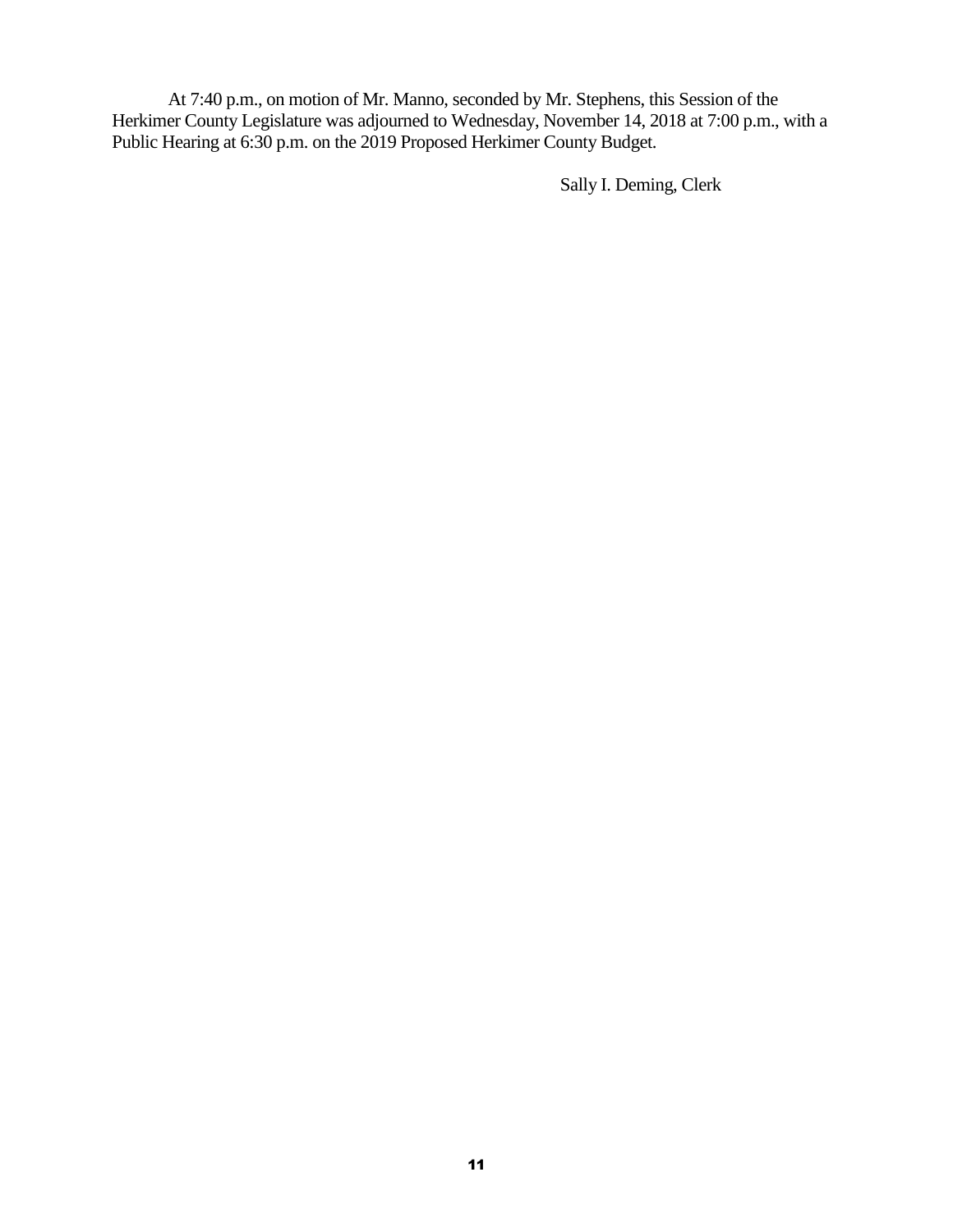At 7:40 p.m., on motion of Mr. Manno, seconded by Mr. Stephens, this Session of the Herkimer County Legislature was adjourned to Wednesday, November 14, 2018 at 7:00 p.m., with a Public Hearing at 6:30 p.m. on the 2019 Proposed Herkimer County Budget.

Sally I. Deming, Clerk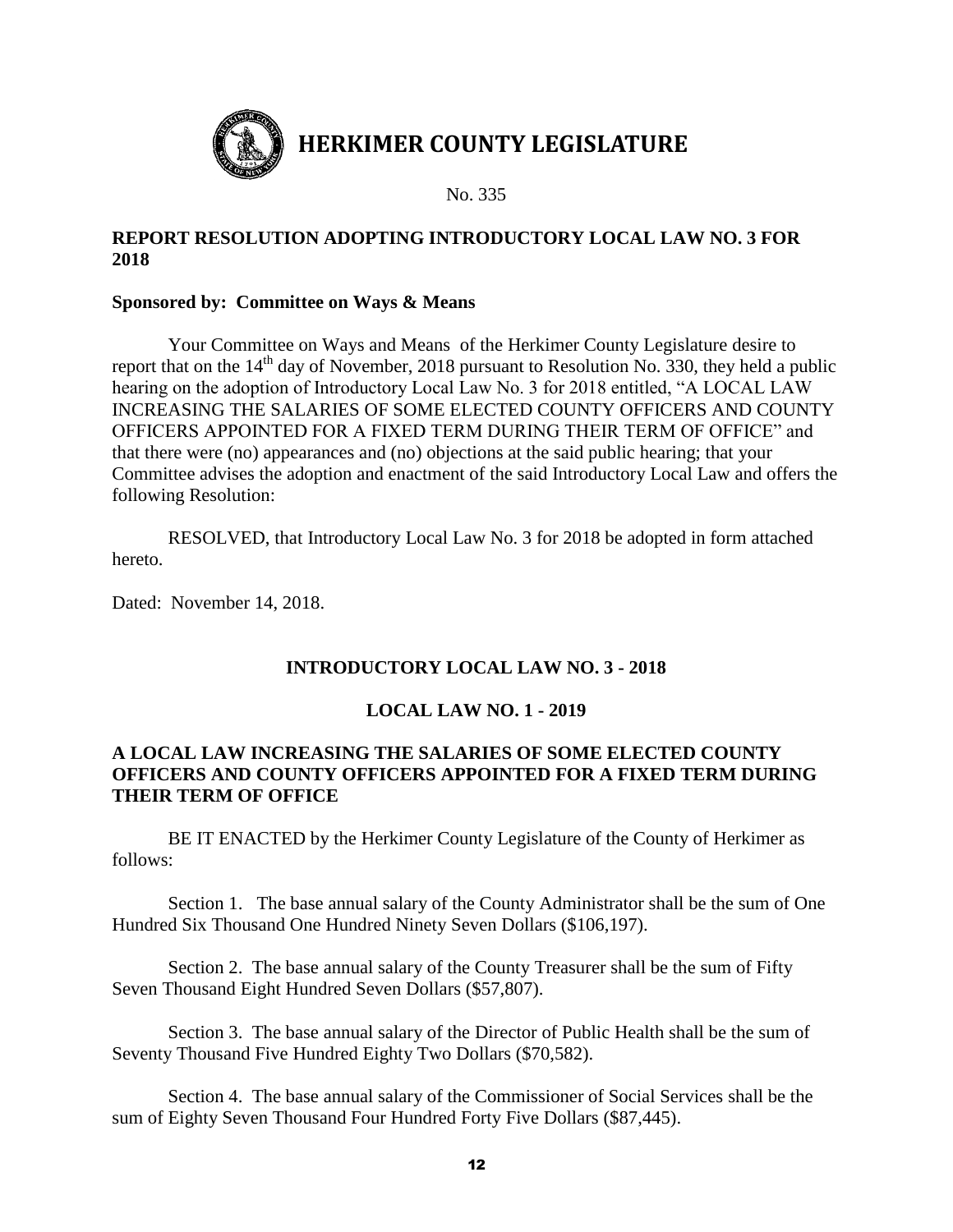

## **REPORT RESOLUTION ADOPTING INTRODUCTORY LOCAL LAW NO. 3 FOR 2018**

#### **Sponsored by: Committee on Ways & Means**

Your Committee on Ways and Means of the Herkimer County Legislature desire to report that on the  $14<sup>th</sup>$  day of November, 2018 pursuant to Resolution No. 330, they held a public hearing on the adoption of Introductory Local Law No. 3 for 2018 entitled, "A LOCAL LAW INCREASING THE SALARIES OF SOME ELECTED COUNTY OFFICERS AND COUNTY OFFICERS APPOINTED FOR A FIXED TERM DURING THEIR TERM OF OFFICE" and that there were (no) appearances and (no) objections at the said public hearing; that your Committee advises the adoption and enactment of the said Introductory Local Law and offers the following Resolution:

RESOLVED, that Introductory Local Law No. 3 for 2018 be adopted in form attached hereto.

Dated: November 14, 2018.

# **INTRODUCTORY LOCAL LAW NO. 3 - 2018**

## **LOCAL LAW NO. 1 - 2019**

### **A LOCAL LAW INCREASING THE SALARIES OF SOME ELECTED COUNTY OFFICERS AND COUNTY OFFICERS APPOINTED FOR A FIXED TERM DURING THEIR TERM OF OFFICE**

BE IT ENACTED by the Herkimer County Legislature of the County of Herkimer as follows:

Section 1. The base annual salary of the County Administrator shall be the sum of One Hundred Six Thousand One Hundred Ninety Seven Dollars (\$106,197).

Section 2. The base annual salary of the County Treasurer shall be the sum of Fifty Seven Thousand Eight Hundred Seven Dollars (\$57,807).

Section 3. The base annual salary of the Director of Public Health shall be the sum of Seventy Thousand Five Hundred Eighty Two Dollars (\$70,582).

Section 4. The base annual salary of the Commissioner of Social Services shall be the sum of Eighty Seven Thousand Four Hundred Forty Five Dollars (\$87,445).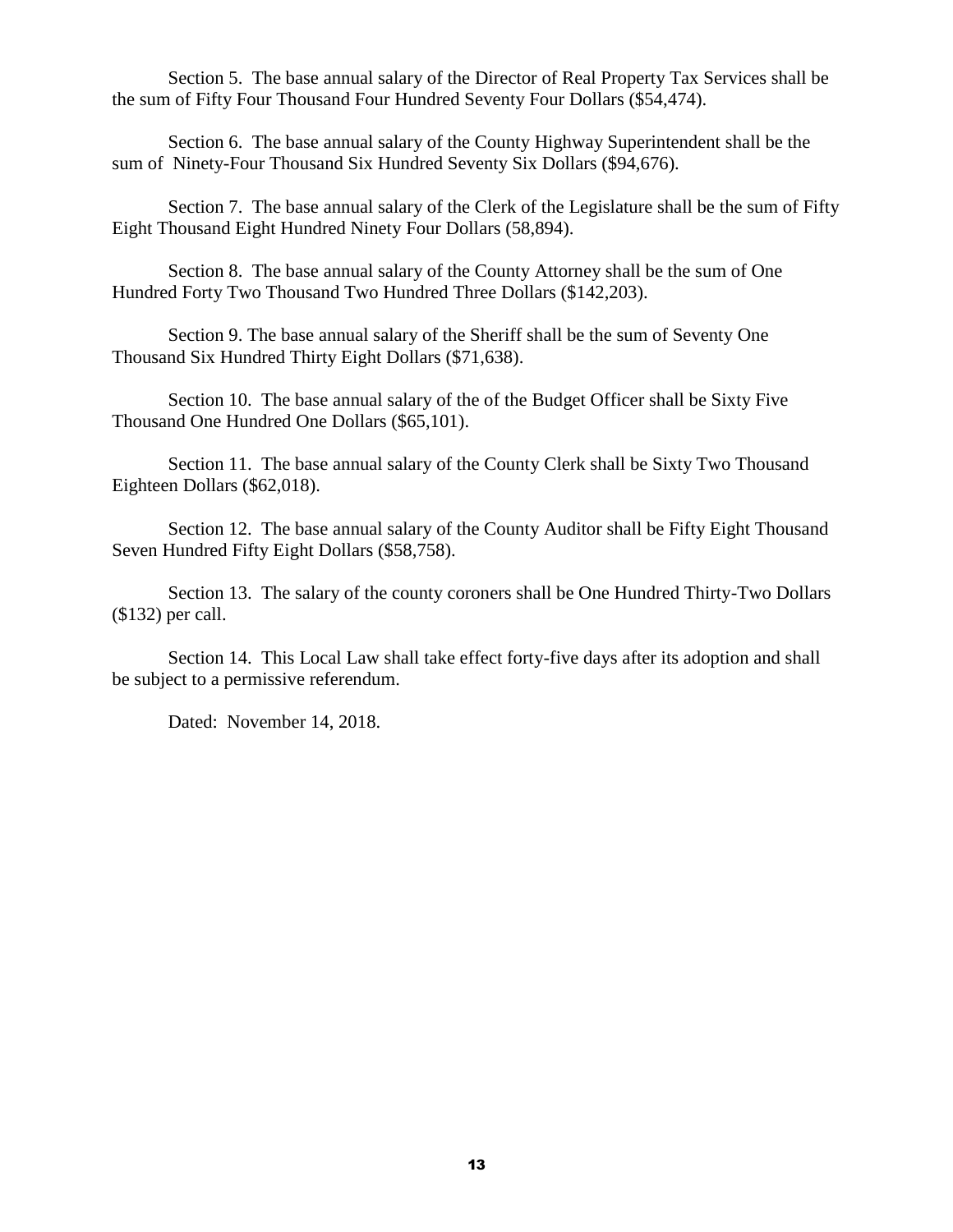Section 5. The base annual salary of the Director of Real Property Tax Services shall be the sum of Fifty Four Thousand Four Hundred Seventy Four Dollars (\$54,474).

Section 6. The base annual salary of the County Highway Superintendent shall be the sum of Ninety-Four Thousand Six Hundred Seventy Six Dollars (\$94,676).

Section 7. The base annual salary of the Clerk of the Legislature shall be the sum of Fifty Eight Thousand Eight Hundred Ninety Four Dollars (58,894).

Section 8. The base annual salary of the County Attorney shall be the sum of One Hundred Forty Two Thousand Two Hundred Three Dollars (\$142,203).

Section 9. The base annual salary of the Sheriff shall be the sum of Seventy One Thousand Six Hundred Thirty Eight Dollars (\$71,638).

Section 10. The base annual salary of the of the Budget Officer shall be Sixty Five Thousand One Hundred One Dollars (\$65,101).

Section 11. The base annual salary of the County Clerk shall be Sixty Two Thousand Eighteen Dollars (\$62,018).

Section 12. The base annual salary of the County Auditor shall be Fifty Eight Thousand Seven Hundred Fifty Eight Dollars (\$58,758).

Section 13. The salary of the county coroners shall be One Hundred Thirty-Two Dollars (\$132) per call.

Section 14. This Local Law shall take effect forty-five days after its adoption and shall be subject to a permissive referendum.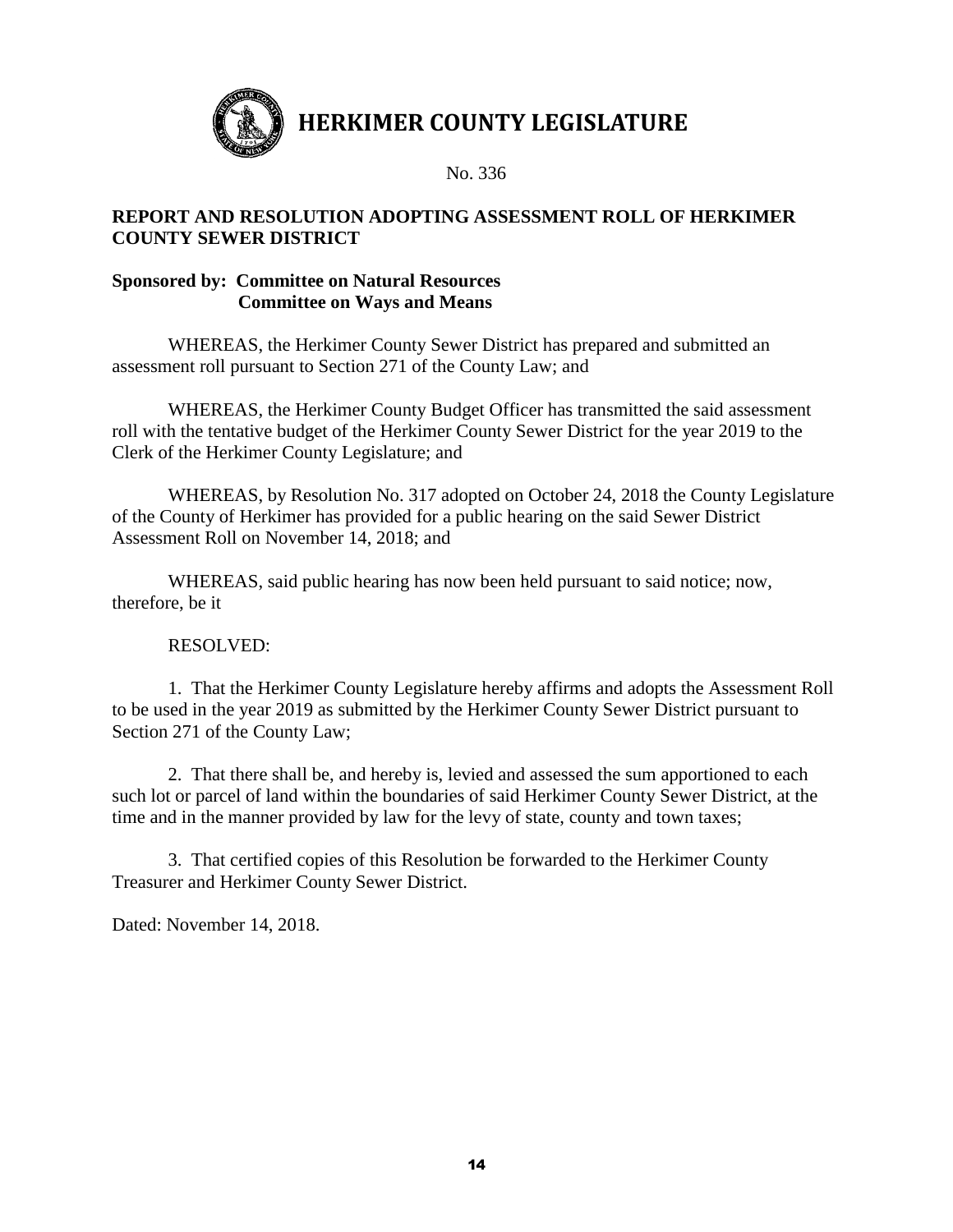

No. 336

### **REPORT AND RESOLUTION ADOPTING ASSESSMENT ROLL OF HERKIMER COUNTY SEWER DISTRICT**

### **Sponsored by: Committee on Natural Resources Committee on Ways and Means**

WHEREAS, the Herkimer County Sewer District has prepared and submitted an assessment roll pursuant to Section 271 of the County Law; and

WHEREAS, the Herkimer County Budget Officer has transmitted the said assessment roll with the tentative budget of the Herkimer County Sewer District for the year 2019 to the Clerk of the Herkimer County Legislature; and

WHEREAS, by Resolution No. 317 adopted on October 24, 2018 the County Legislature of the County of Herkimer has provided for a public hearing on the said Sewer District Assessment Roll on November 14, 2018; and

WHEREAS, said public hearing has now been held pursuant to said notice; now, therefore, be it

## RESOLVED:

1. That the Herkimer County Legislature hereby affirms and adopts the Assessment Roll to be used in the year 2019 as submitted by the Herkimer County Sewer District pursuant to Section 271 of the County Law;

2. That there shall be, and hereby is, levied and assessed the sum apportioned to each such lot or parcel of land within the boundaries of said Herkimer County Sewer District, at the time and in the manner provided by law for the levy of state, county and town taxes;

3. That certified copies of this Resolution be forwarded to the Herkimer County Treasurer and Herkimer County Sewer District.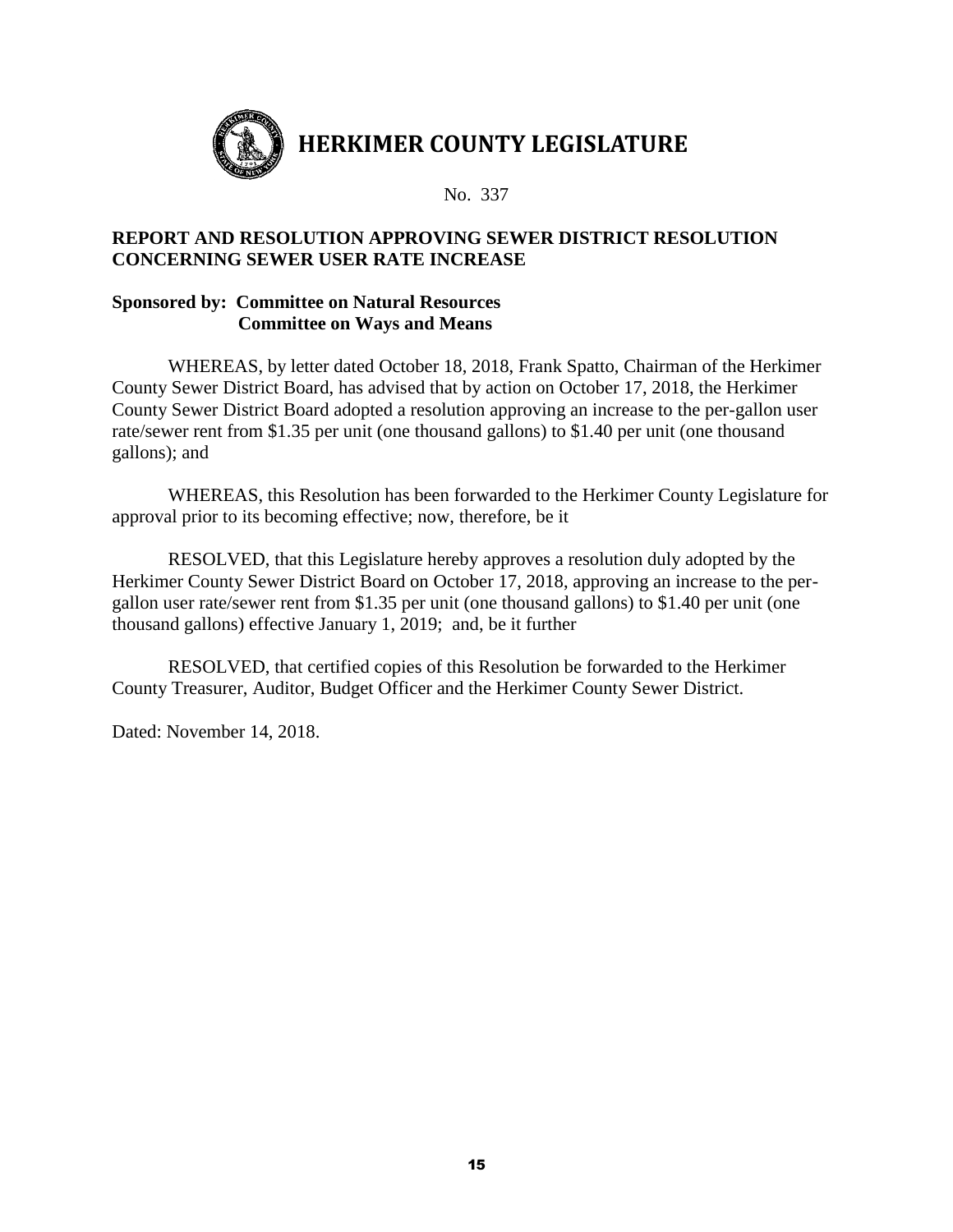

No. 337

## **REPORT AND RESOLUTION APPROVING SEWER DISTRICT RESOLUTION CONCERNING SEWER USER RATE INCREASE**

#### **Sponsored by: Committee on Natural Resources Committee on Ways and Means**

WHEREAS, by letter dated October 18, 2018, Frank Spatto, Chairman of the Herkimer County Sewer District Board, has advised that by action on October 17, 2018, the Herkimer County Sewer District Board adopted a resolution approving an increase to the per-gallon user rate/sewer rent from \$1.35 per unit (one thousand gallons) to \$1.40 per unit (one thousand gallons); and

WHEREAS, this Resolution has been forwarded to the Herkimer County Legislature for approval prior to its becoming effective; now, therefore, be it

RESOLVED, that this Legislature hereby approves a resolution duly adopted by the Herkimer County Sewer District Board on October 17, 2018, approving an increase to the pergallon user rate/sewer rent from \$1.35 per unit (one thousand gallons) to \$1.40 per unit (one thousand gallons) effective January 1, 2019; and, be it further

RESOLVED, that certified copies of this Resolution be forwarded to the Herkimer County Treasurer, Auditor, Budget Officer and the Herkimer County Sewer District.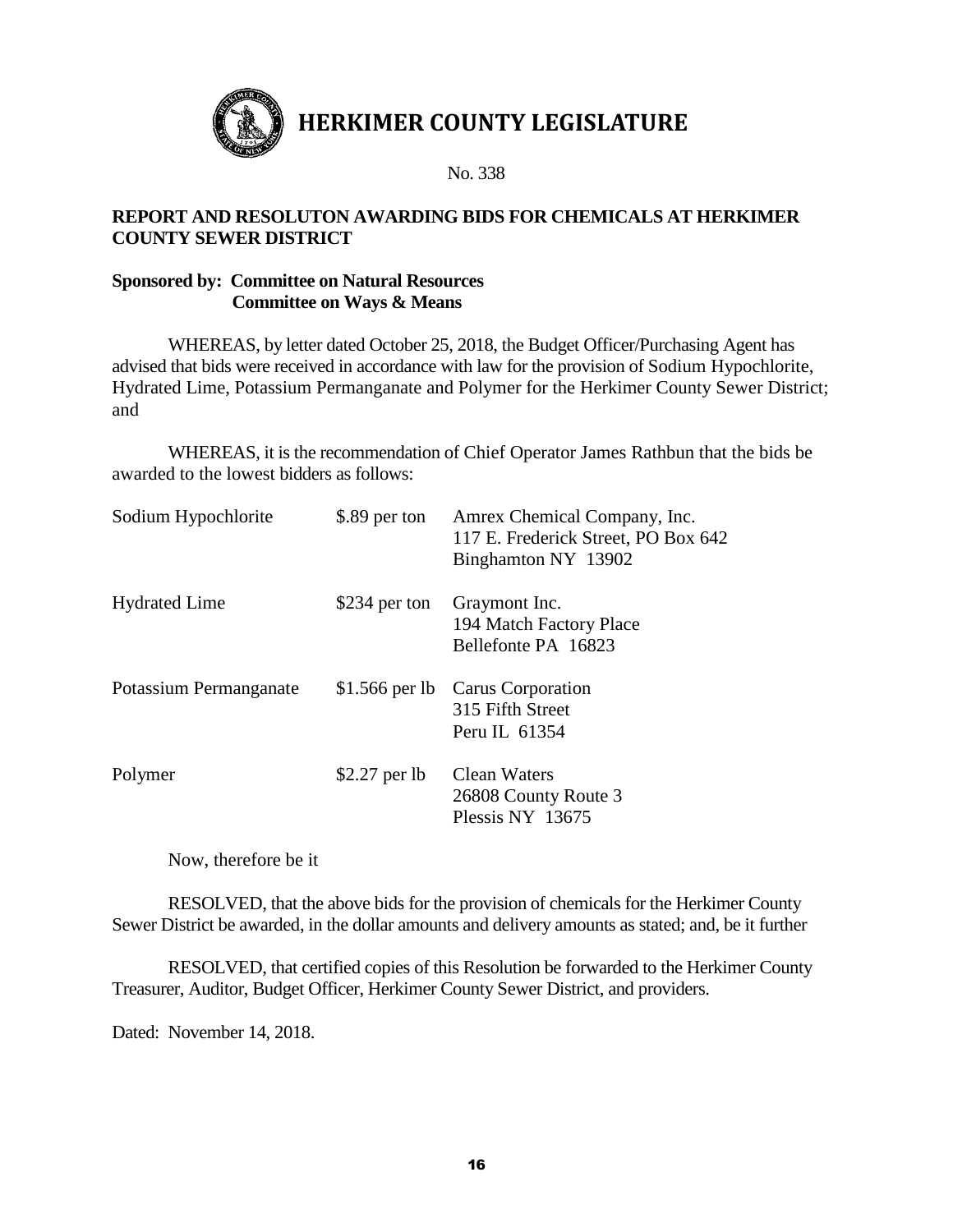

No. 338

#### **REPORT AND RESOLUTON AWARDING BIDS FOR CHEMICALS AT HERKIMER COUNTY SEWER DISTRICT**

### **Sponsored by: Committee on Natural Resources Committee on Ways & Means**

WHEREAS, by letter dated October 25, 2018, the Budget Officer/Purchasing Agent has advised that bids were received in accordance with law for the provision of Sodium Hypochlorite, Hydrated Lime, Potassium Permanganate and Polymer for the Herkimer County Sewer District; and

WHEREAS, it is the recommendation of Chief Operator James Rathbun that the bids be awarded to the lowest bidders as follows:

| Sodium Hypochlorite    | \$.89 per ton  | Amrex Chemical Company, Inc.<br>117 E. Frederick Street, PO Box 642<br>Binghamton NY 13902 |
|------------------------|----------------|--------------------------------------------------------------------------------------------|
| <b>Hydrated Lime</b>   | \$234 per ton  | Graymont Inc.<br>194 Match Factory Place<br>Bellefonte PA 16823                            |
| Potassium Permanganate |                | \$1.566 per lb Carus Corporation<br>315 Fifth Street<br>Peru IL 61354                      |
| Polymer                | $$2.27$ per lb | Clean Waters<br>26808 County Route 3<br>Plessis NY 13675                                   |

Now, therefore be it

RESOLVED, that the above bids for the provision of chemicals for the Herkimer County Sewer District be awarded, in the dollar amounts and delivery amounts as stated; and, be it further

RESOLVED, that certified copies of this Resolution be forwarded to the Herkimer County Treasurer, Auditor, Budget Officer, Herkimer County Sewer District, and providers.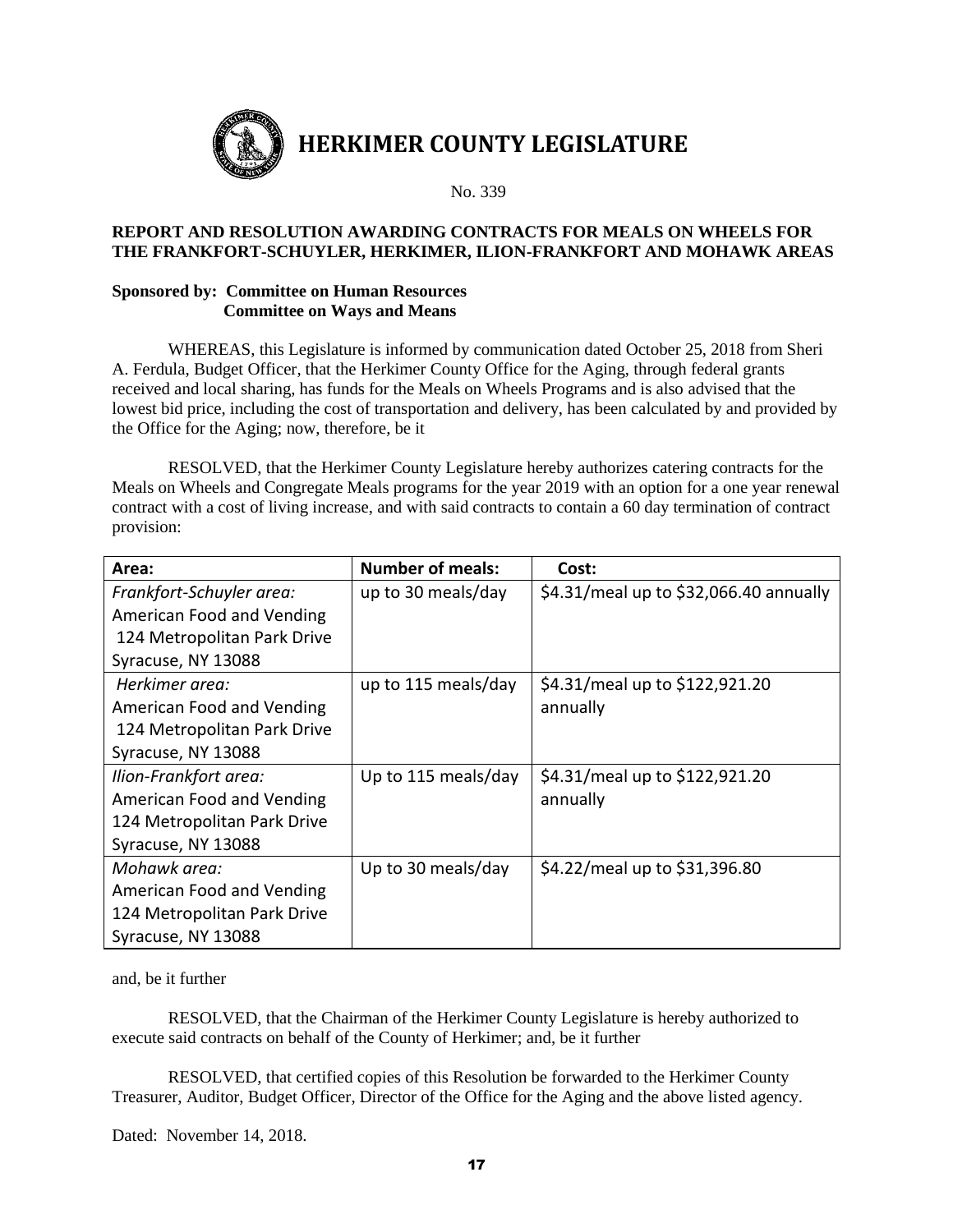

#### **REPORT AND RESOLUTION AWARDING CONTRACTS FOR MEALS ON WHEELS FOR THE FRANKFORT-SCHUYLER, HERKIMER, ILION-FRANKFORT AND MOHAWK AREAS**

#### **Sponsored by: Committee on Human Resources Committee on Ways and Means**

WHEREAS, this Legislature is informed by communication dated October 25, 2018 from Sheri A. Ferdula, Budget Officer, that the Herkimer County Office for the Aging, through federal grants received and local sharing, has funds for the Meals on Wheels Programs and is also advised that the lowest bid price, including the cost of transportation and delivery, has been calculated by and provided by the Office for the Aging; now, therefore, be it

RESOLVED, that the Herkimer County Legislature hereby authorizes catering contracts for the Meals on Wheels and Congregate Meals programs for the year 2019 with an option for a one year renewal contract with a cost of living increase, and with said contracts to contain a 60 day termination of contract provision:

| Area:                       | <b>Number of meals:</b> | Cost:                                  |
|-----------------------------|-------------------------|----------------------------------------|
| Frankfort-Schuyler area:    | up to 30 meals/day      | \$4.31/meal up to \$32,066.40 annually |
| American Food and Vending   |                         |                                        |
| 124 Metropolitan Park Drive |                         |                                        |
| Syracuse, NY 13088          |                         |                                        |
| Herkimer area:              | up to 115 meals/day     | \$4.31/meal up to \$122,921.20         |
| American Food and Vending   |                         | annually                               |
| 124 Metropolitan Park Drive |                         |                                        |
| Syracuse, NY 13088          |                         |                                        |
| Ilion-Frankfort area:       | Up to 115 meals/day     | \$4.31/meal up to \$122,921.20         |
| American Food and Vending   |                         | annually                               |
| 124 Metropolitan Park Drive |                         |                                        |
| Syracuse, NY 13088          |                         |                                        |
| Mohawk area:                | Up to 30 meals/day      | \$4.22/meal up to \$31,396.80          |
| American Food and Vending   |                         |                                        |
| 124 Metropolitan Park Drive |                         |                                        |
| Syracuse, NY 13088          |                         |                                        |

and, be it further

RESOLVED, that the Chairman of the Herkimer County Legislature is hereby authorized to execute said contracts on behalf of the County of Herkimer; and, be it further

RESOLVED, that certified copies of this Resolution be forwarded to the Herkimer County Treasurer, Auditor, Budget Officer, Director of the Office for the Aging and the above listed agency.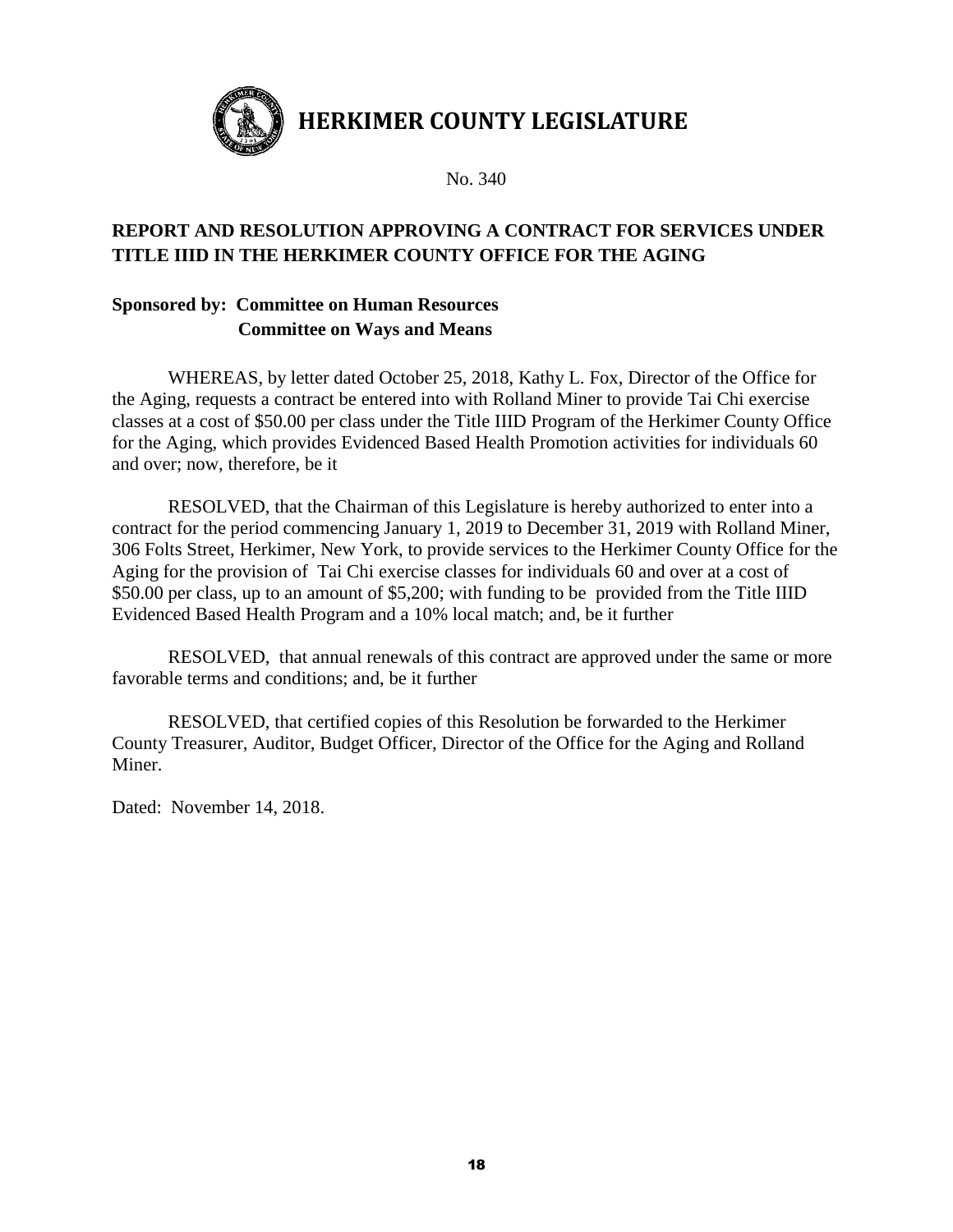

No. 340

# **REPORT AND RESOLUTION APPROVING A CONTRACT FOR SERVICES UNDER TITLE IIID IN THE HERKIMER COUNTY OFFICE FOR THE AGING**

# **Sponsored by: Committee on Human Resources Committee on Ways and Means**

WHEREAS, by letter dated October 25, 2018, Kathy L. Fox, Director of the Office for the Aging, requests a contract be entered into with Rolland Miner to provide Tai Chi exercise classes at a cost of \$50.00 per class under the Title IIID Program of the Herkimer County Office for the Aging, which provides Evidenced Based Health Promotion activities for individuals 60 and over; now, therefore, be it

RESOLVED, that the Chairman of this Legislature is hereby authorized to enter into a contract for the period commencing January 1, 2019 to December 31, 2019 with Rolland Miner, 306 Folts Street, Herkimer, New York, to provide services to the Herkimer County Office for the Aging for the provision of Tai Chi exercise classes for individuals 60 and over at a cost of \$50.00 per class, up to an amount of \$5,200; with funding to be provided from the Title IIID Evidenced Based Health Program and a 10% local match; and, be it further

RESOLVED, that annual renewals of this contract are approved under the same or more favorable terms and conditions; and, be it further

RESOLVED, that certified copies of this Resolution be forwarded to the Herkimer County Treasurer, Auditor, Budget Officer, Director of the Office for the Aging and Rolland Miner.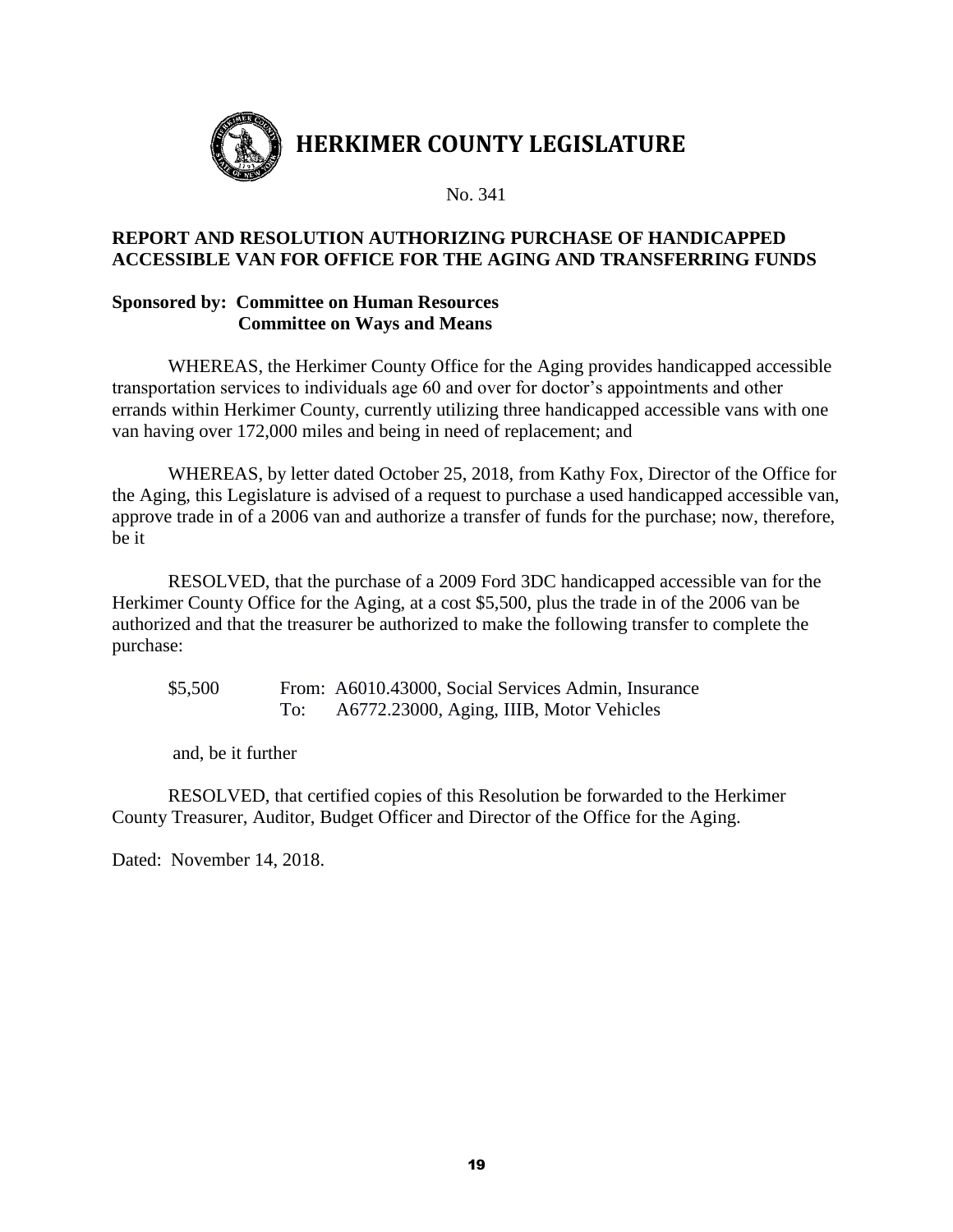

## **REPORT AND RESOLUTION AUTHORIZING PURCHASE OF HANDICAPPED ACCESSIBLE VAN FOR OFFICE FOR THE AGING AND TRANSFERRING FUNDS**

#### **Sponsored by: Committee on Human Resources Committee on Ways and Means**

WHEREAS, the Herkimer County Office for the Aging provides handicapped accessible transportation services to individuals age 60 and over for doctor's appointments and other errands within Herkimer County, currently utilizing three handicapped accessible vans with one van having over 172,000 miles and being in need of replacement; and

WHEREAS, by letter dated October 25, 2018, from Kathy Fox, Director of the Office for the Aging, this Legislature is advised of a request to purchase a used handicapped accessible van, approve trade in of a 2006 van and authorize a transfer of funds for the purchase; now, therefore, be it

RESOLVED, that the purchase of a 2009 Ford 3DC handicapped accessible van for the Herkimer County Office for the Aging, at a cost \$5,500, plus the trade in of the 2006 van be authorized and that the treasurer be authorized to make the following transfer to complete the purchase:

\$5,500 From: A6010.43000, Social Services Admin, Insurance To: A6772.23000, Aging, IIIB, Motor Vehicles

and, be it further

RESOLVED, that certified copies of this Resolution be forwarded to the Herkimer County Treasurer, Auditor, Budget Officer and Director of the Office for the Aging.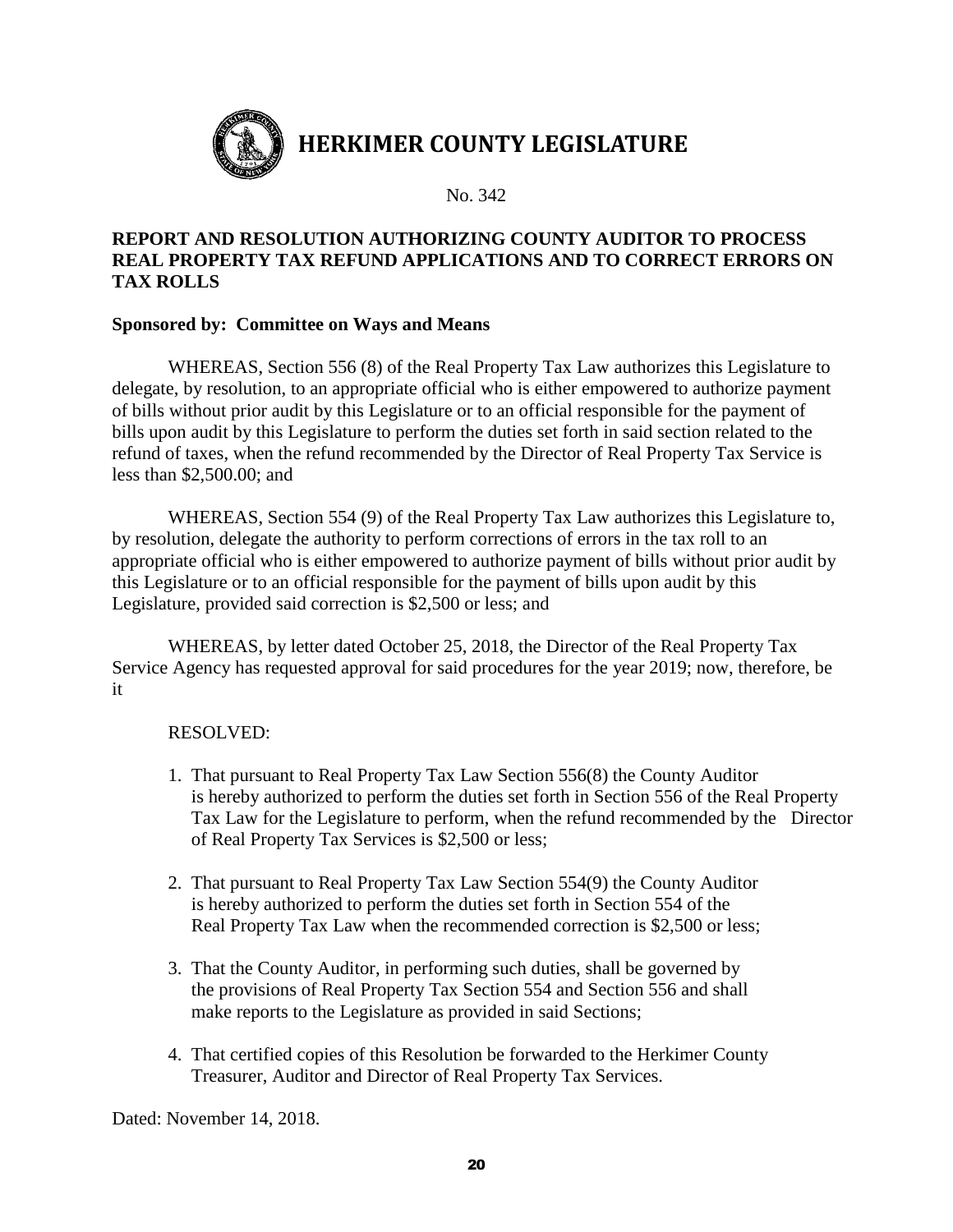

## **REPORT AND RESOLUTION AUTHORIZING COUNTY AUDITOR TO PROCESS REAL PROPERTY TAX REFUND APPLICATIONS AND TO CORRECT ERRORS ON TAX ROLLS**

## **Sponsored by: Committee on Ways and Means**

WHEREAS, Section 556 (8) of the Real Property Tax Law authorizes this Legislature to delegate, by resolution, to an appropriate official who is either empowered to authorize payment of bills without prior audit by this Legislature or to an official responsible for the payment of bills upon audit by this Legislature to perform the duties set forth in said section related to the refund of taxes, when the refund recommended by the Director of Real Property Tax Service is less than \$2,500.00; and

WHEREAS, Section 554 (9) of the Real Property Tax Law authorizes this Legislature to, by resolution, delegate the authority to perform corrections of errors in the tax roll to an appropriate official who is either empowered to authorize payment of bills without prior audit by this Legislature or to an official responsible for the payment of bills upon audit by this Legislature, provided said correction is \$2,500 or less; and

WHEREAS, by letter dated October 25, 2018, the Director of the Real Property Tax Service Agency has requested approval for said procedures for the year 2019; now, therefore, be it

#### RESOLVED:

- 1. That pursuant to Real Property Tax Law Section 556(8) the County Auditor is hereby authorized to perform the duties set forth in Section 556 of the Real Property Tax Law for the Legislature to perform, when the refund recommended by the Director of Real Property Tax Services is \$2,500 or less;
- 2. That pursuant to Real Property Tax Law Section 554(9) the County Auditor is hereby authorized to perform the duties set forth in Section 554 of the Real Property Tax Law when the recommended correction is \$2,500 or less;
- 3. That the County Auditor, in performing such duties, shall be governed by the provisions of Real Property Tax Section 554 and Section 556 and shall make reports to the Legislature as provided in said Sections;
- 4. That certified copies of this Resolution be forwarded to the Herkimer County Treasurer, Auditor and Director of Real Property Tax Services.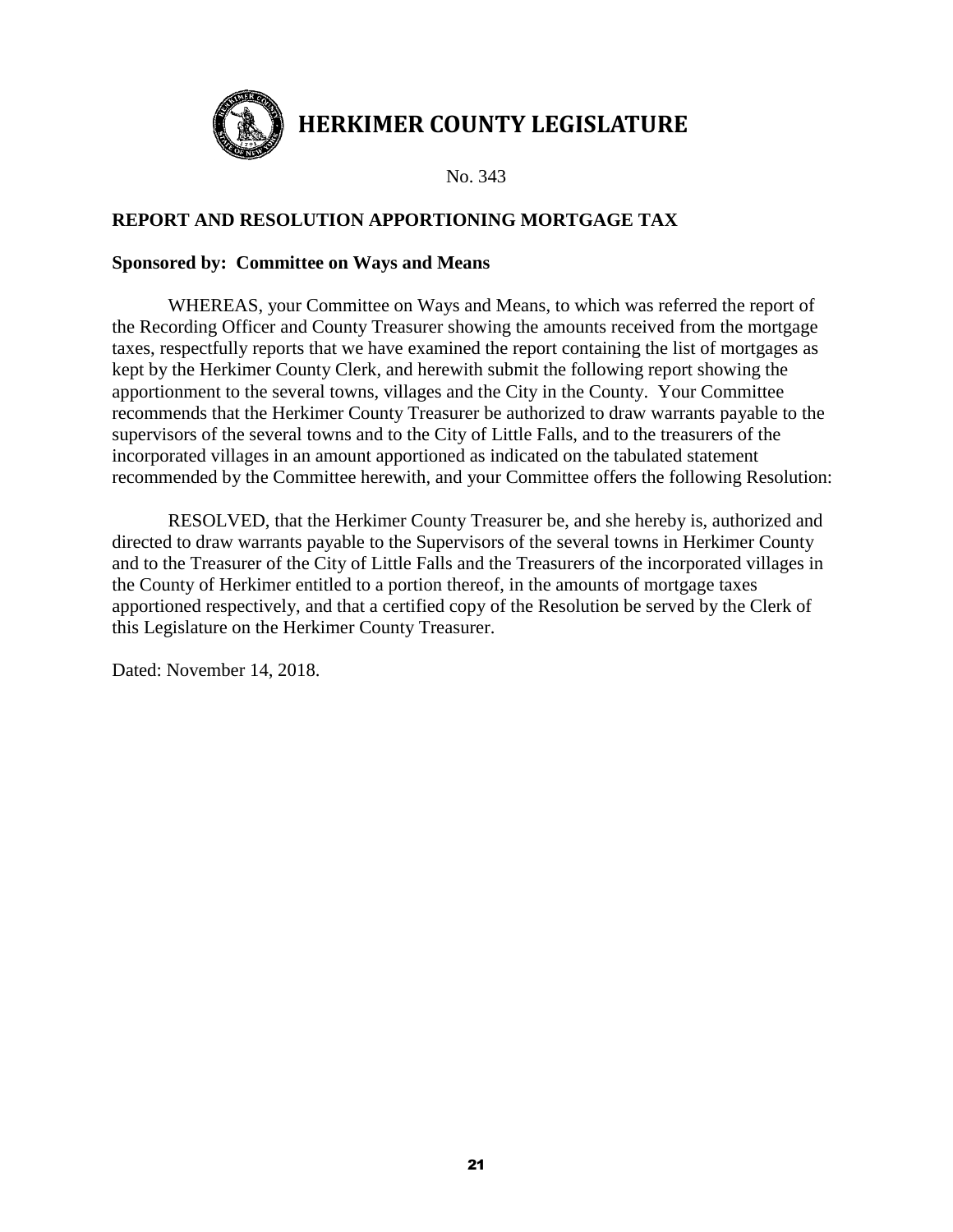

## **REPORT AND RESOLUTION APPORTIONING MORTGAGE TAX**

#### **Sponsored by: Committee on Ways and Means**

WHEREAS, your Committee on Ways and Means, to which was referred the report of the Recording Officer and County Treasurer showing the amounts received from the mortgage taxes, respectfully reports that we have examined the report containing the list of mortgages as kept by the Herkimer County Clerk, and herewith submit the following report showing the apportionment to the several towns, villages and the City in the County. Your Committee recommends that the Herkimer County Treasurer be authorized to draw warrants payable to the supervisors of the several towns and to the City of Little Falls, and to the treasurers of the incorporated villages in an amount apportioned as indicated on the tabulated statement recommended by the Committee herewith, and your Committee offers the following Resolution:

RESOLVED, that the Herkimer County Treasurer be, and she hereby is, authorized and directed to draw warrants payable to the Supervisors of the several towns in Herkimer County and to the Treasurer of the City of Little Falls and the Treasurers of the incorporated villages in the County of Herkimer entitled to a portion thereof, in the amounts of mortgage taxes apportioned respectively, and that a certified copy of the Resolution be served by the Clerk of this Legislature on the Herkimer County Treasurer.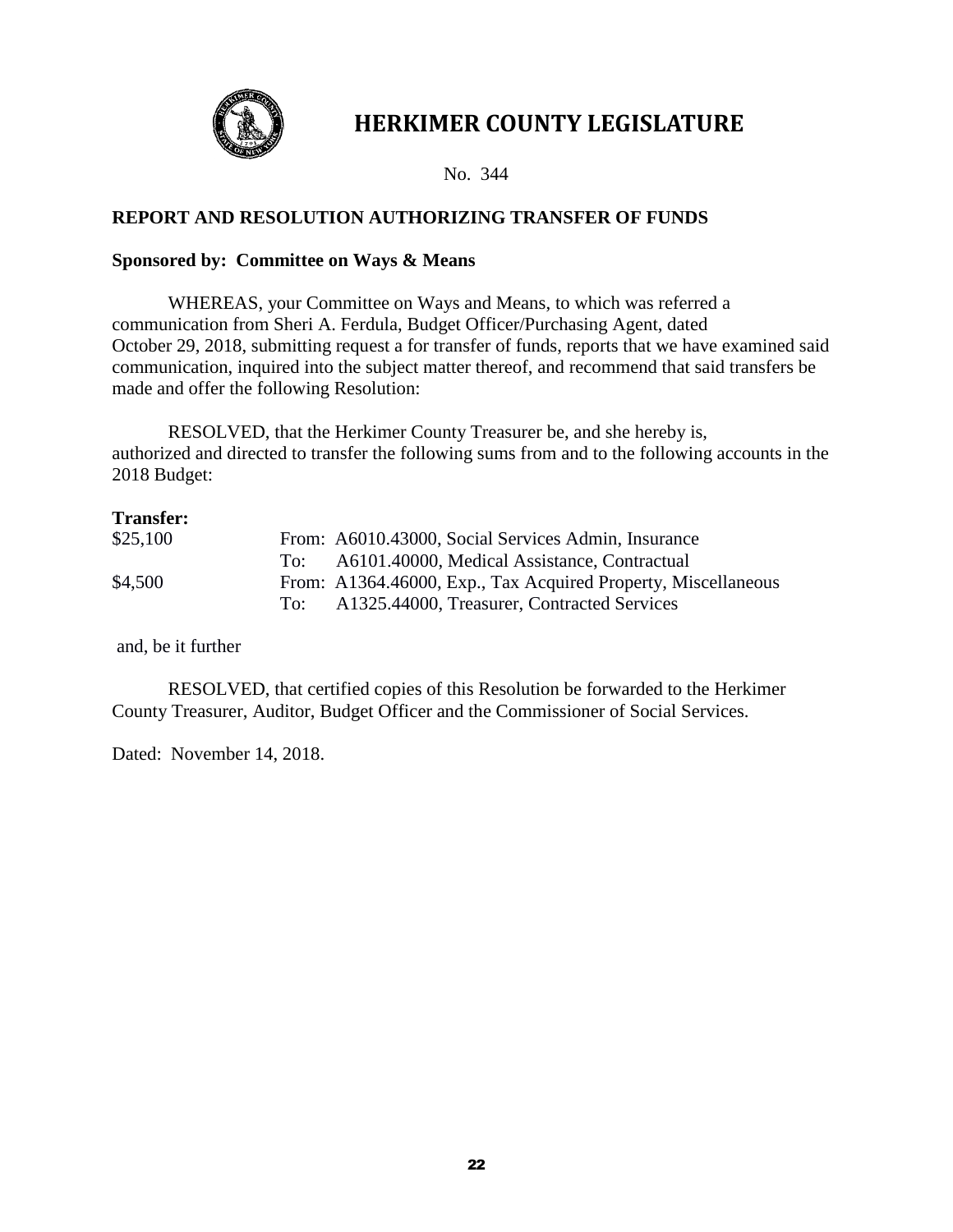

No. 344

## **REPORT AND RESOLUTION AUTHORIZING TRANSFER OF FUNDS**

#### **Sponsored by: Committee on Ways & Means**

WHEREAS, your Committee on Ways and Means, to which was referred a communication from Sheri A. Ferdula, Budget Officer/Purchasing Agent, dated October 29, 2018, submitting request a for transfer of funds, reports that we have examined said communication, inquired into the subject matter thereof, and recommend that said transfers be made and offer the following Resolution:

RESOLVED, that the Herkimer County Treasurer be, and she hereby is, authorized and directed to transfer the following sums from and to the following accounts in the 2018 Budget:

#### **Transfer:**

| \$25,100 |       | From: A6010.43000, Social Services Admin, Insurance           |
|----------|-------|---------------------------------------------------------------|
|          | To: - | A6101.40000, Medical Assistance, Contractual                  |
| \$4,500  |       | From: A1364.46000, Exp., Tax Acquired Property, Miscellaneous |
|          | To: - | A1325.44000, Treasurer, Contracted Services                   |

and, be it further

RESOLVED, that certified copies of this Resolution be forwarded to the Herkimer County Treasurer, Auditor, Budget Officer and the Commissioner of Social Services.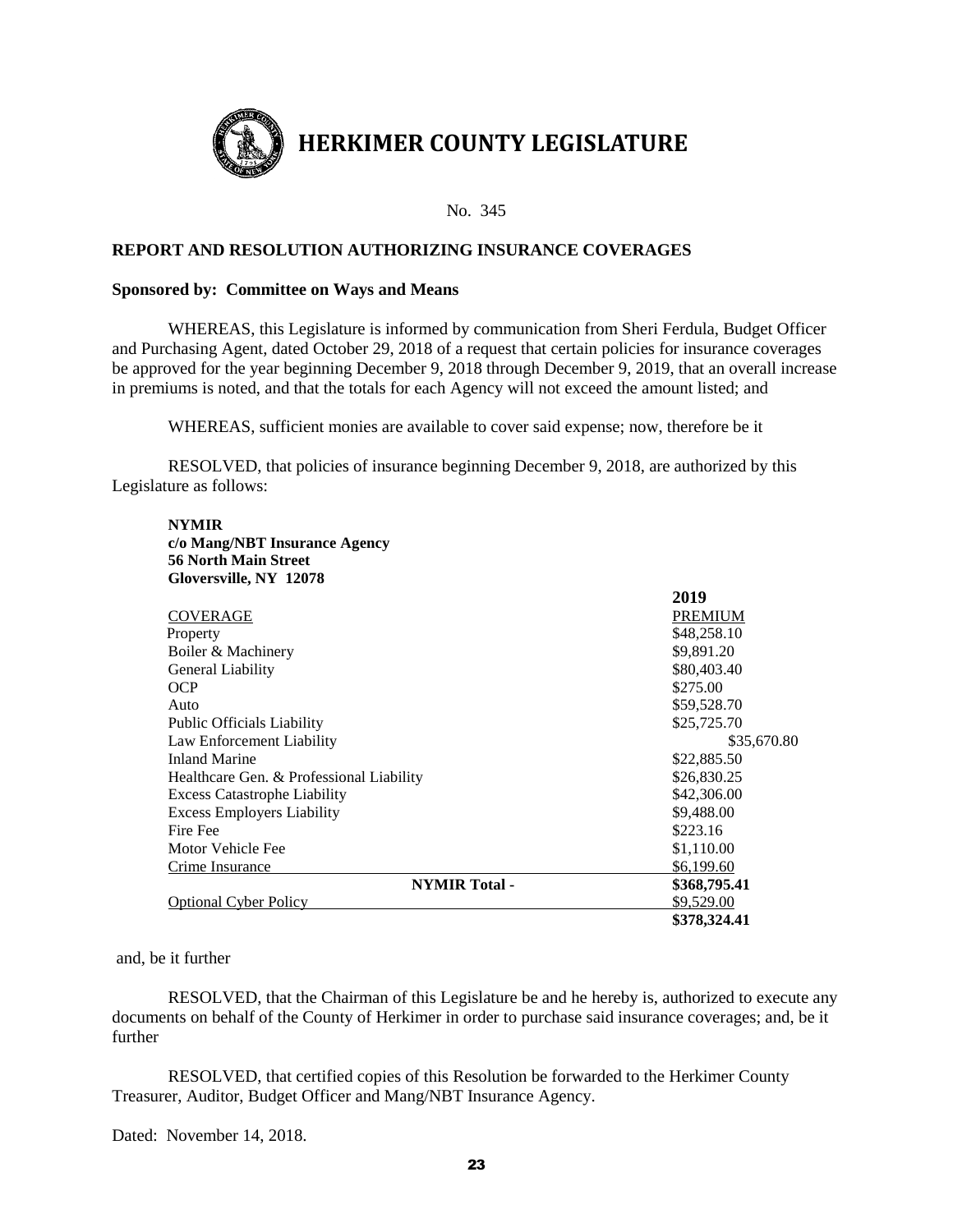

#### **REPORT AND RESOLUTION AUTHORIZING INSURANCE COVERAGES**

#### **Sponsored by: Committee on Ways and Means**

WHEREAS, this Legislature is informed by communication from Sheri Ferdula, Budget Officer and Purchasing Agent, dated October 29, 2018 of a request that certain policies for insurance coverages be approved for the year beginning December 9, 2018 through December 9, 2019, that an overall increase in premiums is noted, and that the totals for each Agency will not exceed the amount listed; and

WHEREAS, sufficient monies are available to cover said expense; now, therefore be it

RESOLVED, that policies of insurance beginning December 9, 2018, are authorized by this Legislature as follows:

#### **NYMIR c/o Mang/NBT Insurance Agency 56 North Main Street Gloversville, NY 12078**

|                                          | 2019           |
|------------------------------------------|----------------|
| COVERAGE                                 | <b>PREMIUM</b> |
| Property                                 | \$48,258.10    |
| Boiler & Machinery                       | \$9,891.20     |
| General Liability                        | \$80,403.40    |
| <b>OCP</b>                               | \$275.00       |
| Auto                                     | \$59,528.70    |
| <b>Public Officials Liability</b>        | \$25,725.70    |
| Law Enforcement Liability                | \$35,670.80    |
| <b>Inland Marine</b>                     | \$22,885.50    |
| Healthcare Gen. & Professional Liability | \$26,830.25    |
| <b>Excess Catastrophe Liability</b>      | \$42,306.00    |
| <b>Excess Employers Liability</b>        | \$9,488.00     |
| Fire Fee                                 | \$223.16       |
| Motor Vehicle Fee                        | \$1,110.00     |
| Crime Insurance                          | \$6,199.60     |
| <b>NYMIR Total -</b>                     | \$368,795.41   |
| <b>Optional Cyber Policy</b>             | \$9,529.00     |
|                                          | \$378,324.41   |

#### and, be it further

RESOLVED, that the Chairman of this Legislature be and he hereby is, authorized to execute any documents on behalf of the County of Herkimer in order to purchase said insurance coverages; and, be it further

RESOLVED, that certified copies of this Resolution be forwarded to the Herkimer County Treasurer, Auditor, Budget Officer and Mang/NBT Insurance Agency.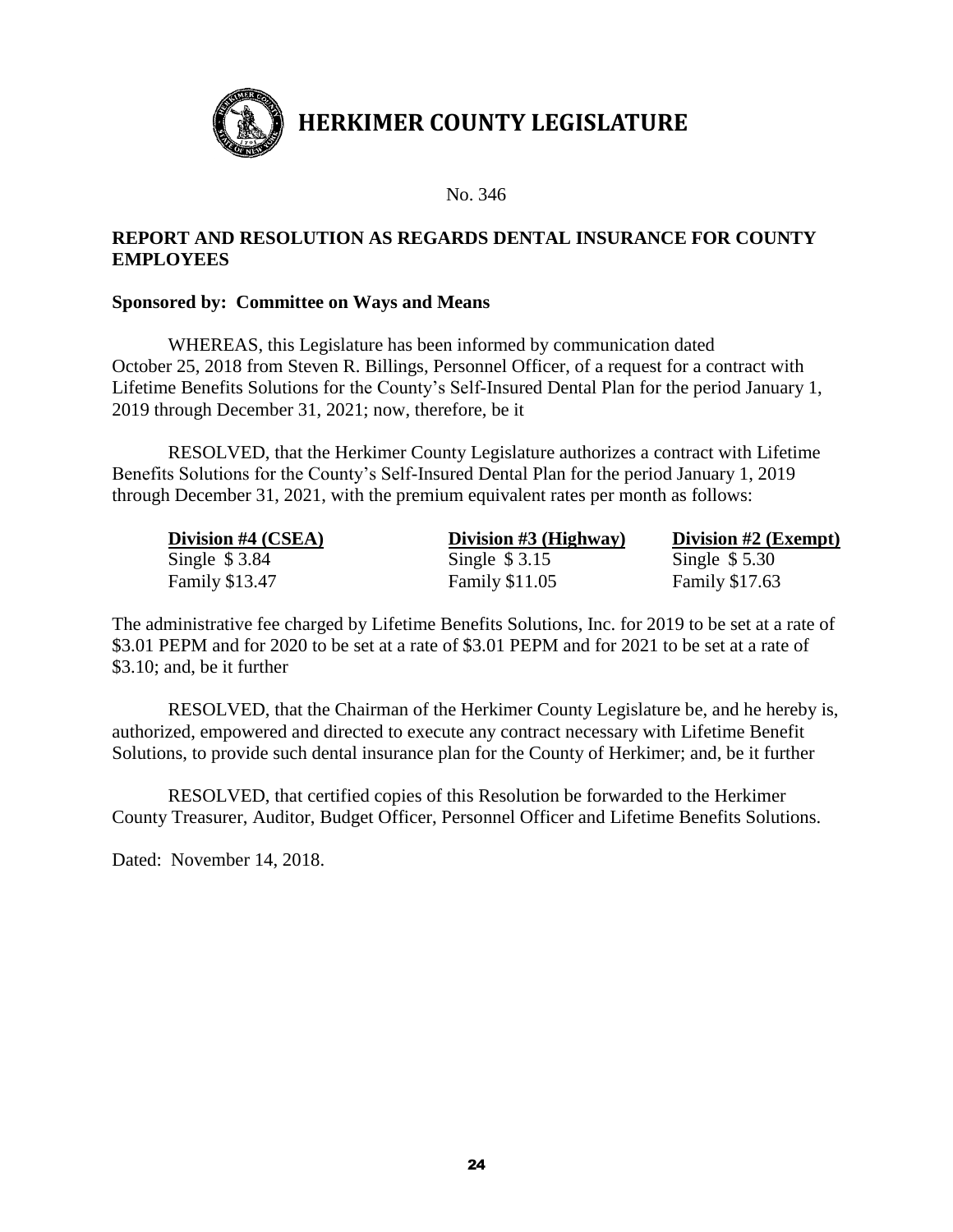

No. 346

## **REPORT AND RESOLUTION AS REGARDS DENTAL INSURANCE FOR COUNTY EMPLOYEES**

#### **Sponsored by: Committee on Ways and Means**

WHEREAS, this Legislature has been informed by communication dated October 25, 2018 from Steven R. Billings, Personnel Officer, of a request for a contract with Lifetime Benefits Solutions for the County's Self-Insured Dental Plan for the period January 1, 2019 through December 31, 2021; now, therefore, be it

RESOLVED, that the Herkimer County Legislature authorizes a contract with Lifetime Benefits Solutions for the County's Self-Insured Dental Plan for the period January 1, 2019 through December 31, 2021, with the premium equivalent rates per month as follows:

| Division #4 (CSEA)    | Division $#3$ (Highway) | Division $#2$ (Exempt) |
|-----------------------|-------------------------|------------------------|
| Single $$3.84$        | Single $$3.15$          | Single $$5.30$         |
| <b>Family \$13.47</b> | <b>Family \$11.05</b>   | <b>Family \$17.63</b>  |

The administrative fee charged by Lifetime Benefits Solutions, Inc. for 2019 to be set at a rate of \$3.01 PEPM and for 2020 to be set at a rate of \$3.01 PEPM and for 2021 to be set at a rate of \$3.10; and, be it further

RESOLVED, that the Chairman of the Herkimer County Legislature be, and he hereby is, authorized, empowered and directed to execute any contract necessary with Lifetime Benefit Solutions, to provide such dental insurance plan for the County of Herkimer; and, be it further

RESOLVED, that certified copies of this Resolution be forwarded to the Herkimer County Treasurer, Auditor, Budget Officer, Personnel Officer and Lifetime Benefits Solutions.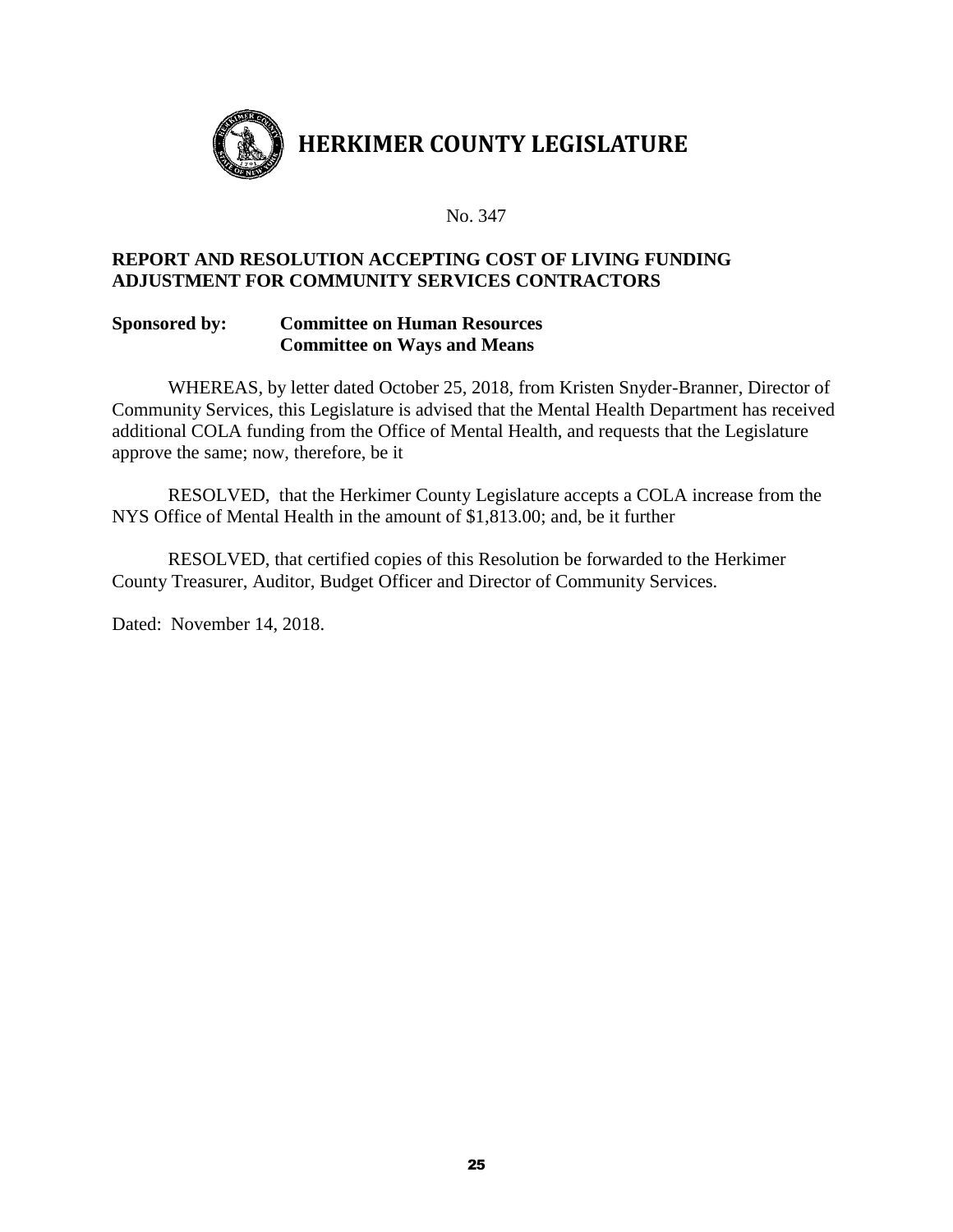

### **REPORT AND RESOLUTION ACCEPTING COST OF LIVING FUNDING ADJUSTMENT FOR COMMUNITY SERVICES CONTRACTORS**

#### **Sponsored by: Committee on Human Resources Committee on Ways and Means**

WHEREAS, by letter dated October 25, 2018, from Kristen Snyder-Branner, Director of Community Services, this Legislature is advised that the Mental Health Department has received additional COLA funding from the Office of Mental Health, and requests that the Legislature approve the same; now, therefore, be it

RESOLVED, that the Herkimer County Legislature accepts a COLA increase from the NYS Office of Mental Health in the amount of \$1,813.00; and, be it further

RESOLVED, that certified copies of this Resolution be forwarded to the Herkimer County Treasurer, Auditor, Budget Officer and Director of Community Services.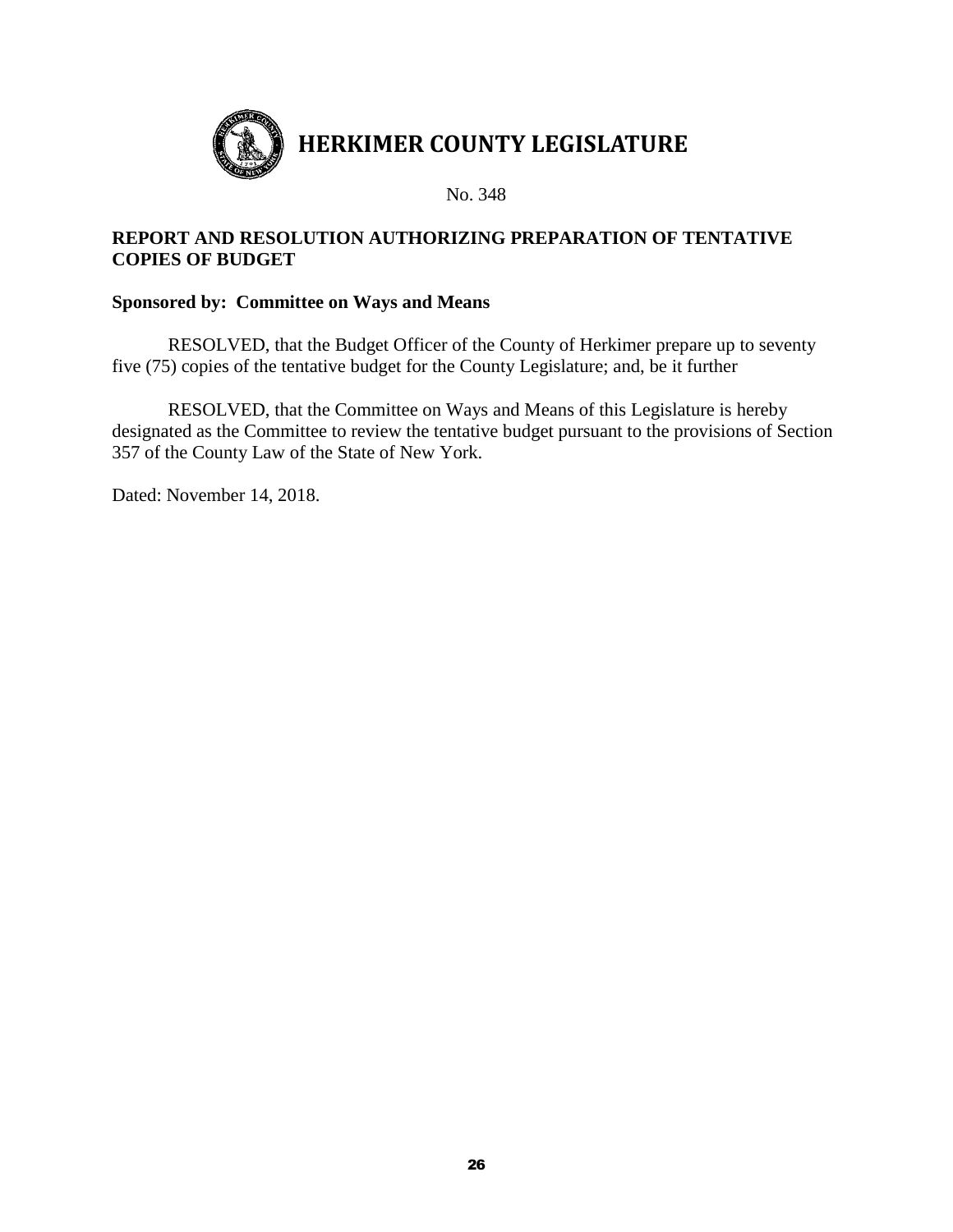

## **REPORT AND RESOLUTION AUTHORIZING PREPARATION OF TENTATIVE COPIES OF BUDGET**

### **Sponsored by: Committee on Ways and Means**

RESOLVED, that the Budget Officer of the County of Herkimer prepare up to seventy five (75) copies of the tentative budget for the County Legislature; and, be it further

RESOLVED, that the Committee on Ways and Means of this Legislature is hereby designated as the Committee to review the tentative budget pursuant to the provisions of Section 357 of the County Law of the State of New York.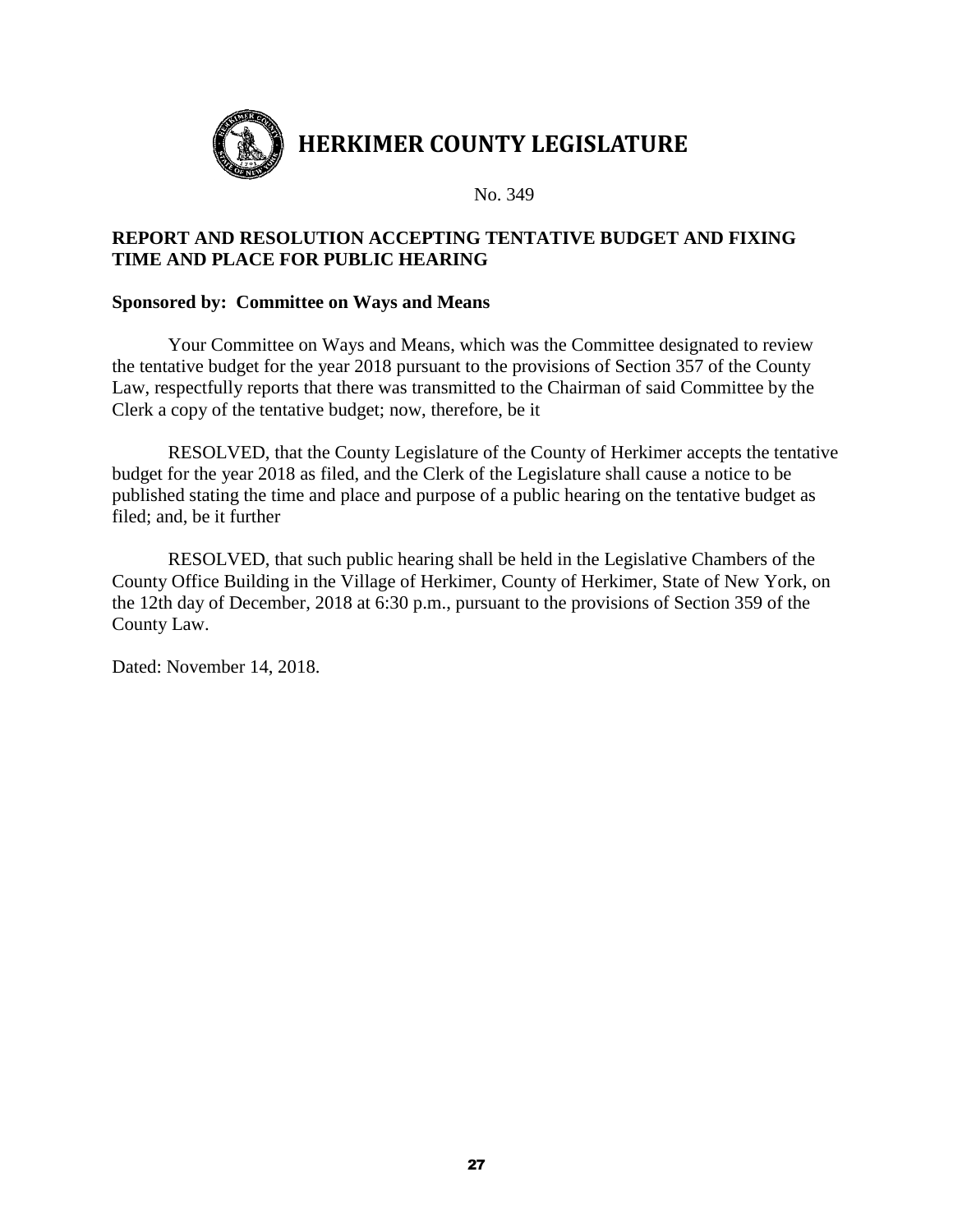

No. 349

## **REPORT AND RESOLUTION ACCEPTING TENTATIVE BUDGET AND FIXING TIME AND PLACE FOR PUBLIC HEARING**

#### **Sponsored by: Committee on Ways and Means**

Your Committee on Ways and Means, which was the Committee designated to review the tentative budget for the year 2018 pursuant to the provisions of Section 357 of the County Law, respectfully reports that there was transmitted to the Chairman of said Committee by the Clerk a copy of the tentative budget; now, therefore, be it

RESOLVED, that the County Legislature of the County of Herkimer accepts the tentative budget for the year 2018 as filed, and the Clerk of the Legislature shall cause a notice to be published stating the time and place and purpose of a public hearing on the tentative budget as filed; and, be it further

RESOLVED, that such public hearing shall be held in the Legislative Chambers of the County Office Building in the Village of Herkimer, County of Herkimer, State of New York, on the 12th day of December, 2018 at 6:30 p.m., pursuant to the provisions of Section 359 of the County Law.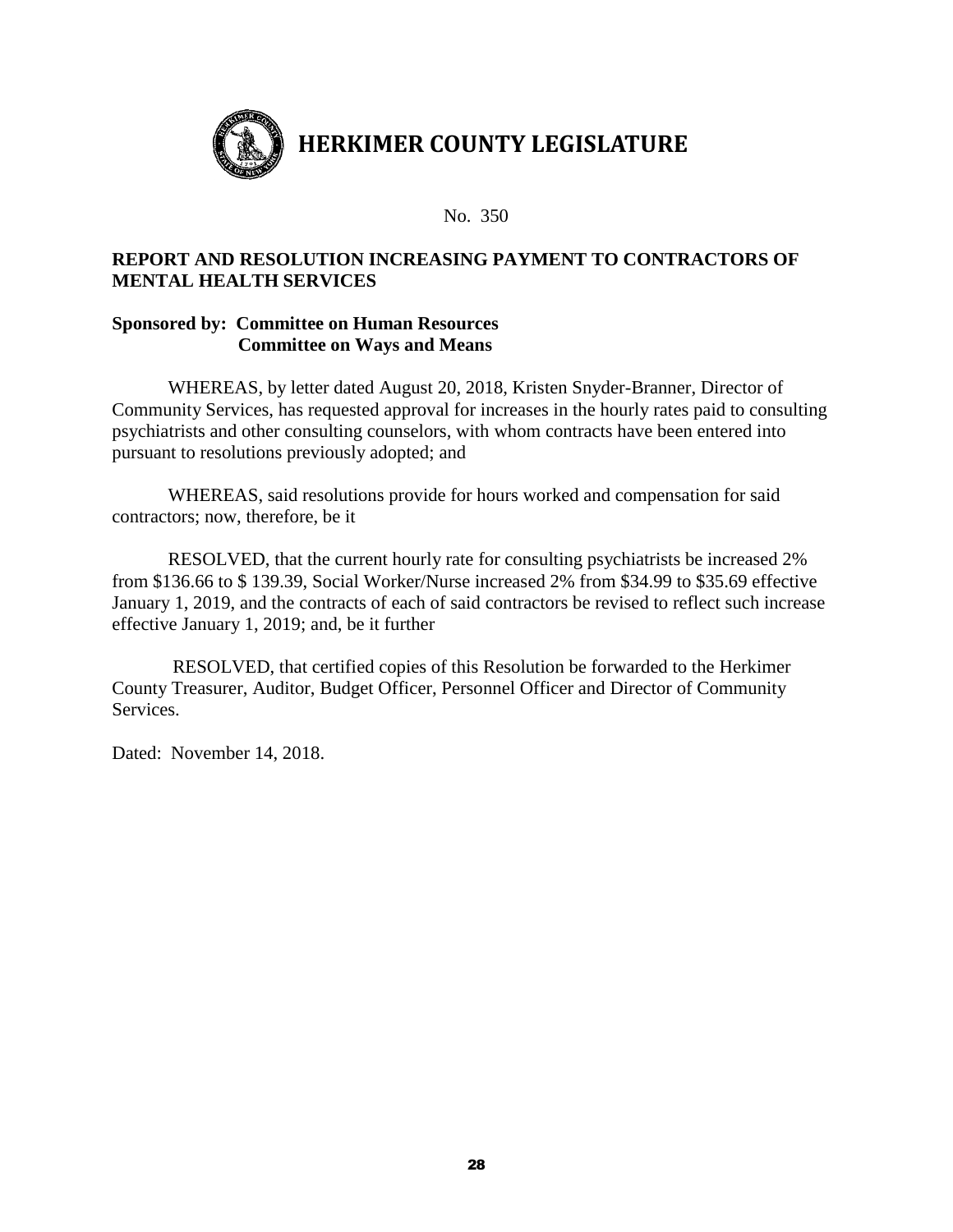

### **REPORT AND RESOLUTION INCREASING PAYMENT TO CONTRACTORS OF MENTAL HEALTH SERVICES**

#### **Sponsored by: Committee on Human Resources Committee on Ways and Means**

WHEREAS, by letter dated August 20, 2018, Kristen Snyder-Branner, Director of Community Services, has requested approval for increases in the hourly rates paid to consulting psychiatrists and other consulting counselors, with whom contracts have been entered into pursuant to resolutions previously adopted; and

WHEREAS, said resolutions provide for hours worked and compensation for said contractors; now, therefore, be it

RESOLVED, that the current hourly rate for consulting psychiatrists be increased 2% from \$136.66 to \$ 139.39, Social Worker/Nurse increased 2% from \$34.99 to \$35.69 effective January 1, 2019, and the contracts of each of said contractors be revised to reflect such increase effective January 1, 2019; and, be it further

RESOLVED, that certified copies of this Resolution be forwarded to the Herkimer County Treasurer, Auditor, Budget Officer, Personnel Officer and Director of Community Services.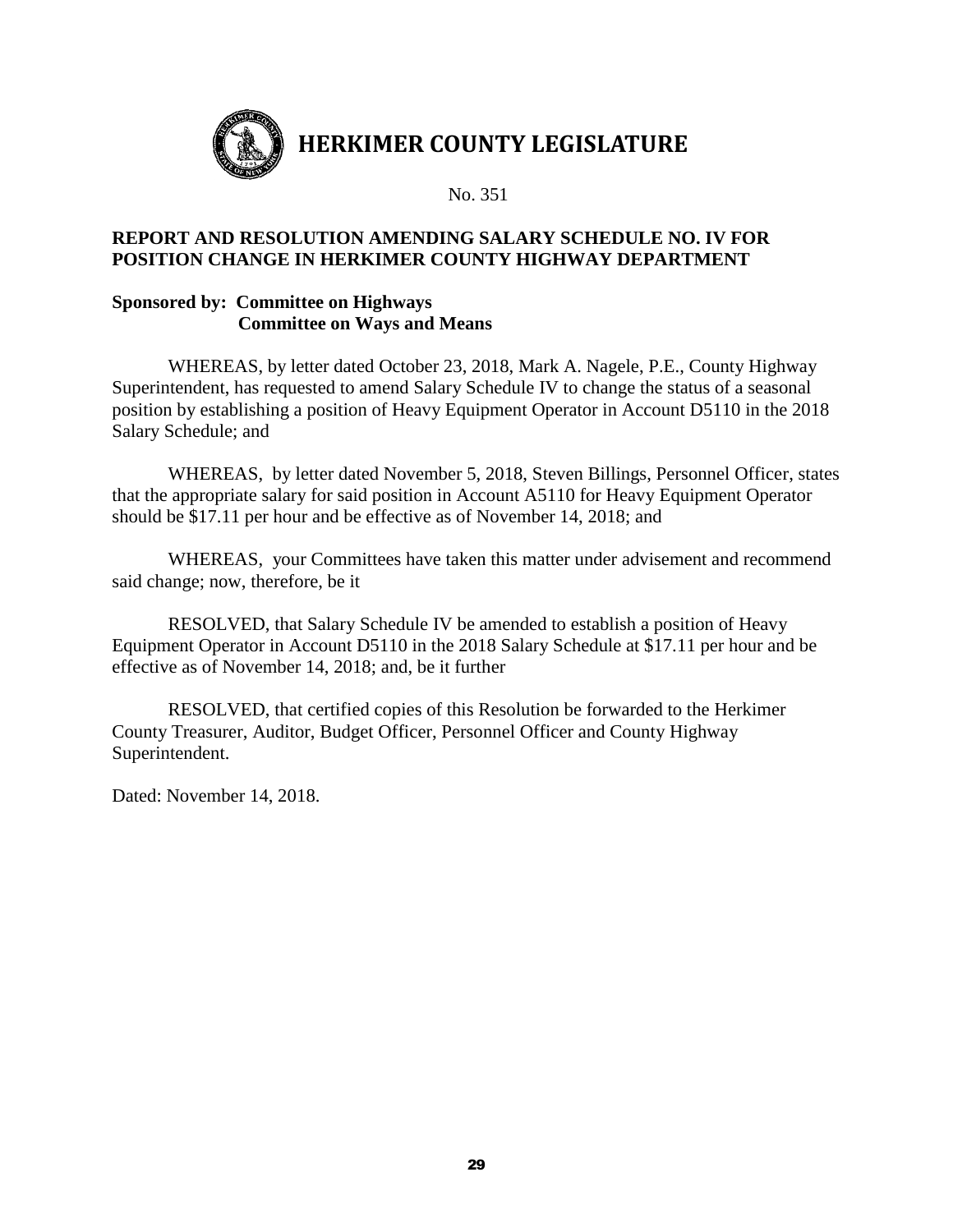

## **REPORT AND RESOLUTION AMENDING SALARY SCHEDULE NO. IV FOR POSITION CHANGE IN HERKIMER COUNTY HIGHWAY DEPARTMENT**

#### **Sponsored by: Committee on Highways Committee on Ways and Means**

WHEREAS, by letter dated October 23, 2018, Mark A. Nagele, P.E., County Highway Superintendent, has requested to amend Salary Schedule IV to change the status of a seasonal position by establishing a position of Heavy Equipment Operator in Account D5110 in the 2018 Salary Schedule; and

WHEREAS, by letter dated November 5, 2018, Steven Billings, Personnel Officer, states that the appropriate salary for said position in Account A5110 for Heavy Equipment Operator should be \$17.11 per hour and be effective as of November 14, 2018; and

WHEREAS, your Committees have taken this matter under advisement and recommend said change; now, therefore, be it

RESOLVED, that Salary Schedule IV be amended to establish a position of Heavy Equipment Operator in Account D5110 in the 2018 Salary Schedule at \$17.11 per hour and be effective as of November 14, 2018; and, be it further

RESOLVED, that certified copies of this Resolution be forwarded to the Herkimer County Treasurer, Auditor, Budget Officer, Personnel Officer and County Highway Superintendent.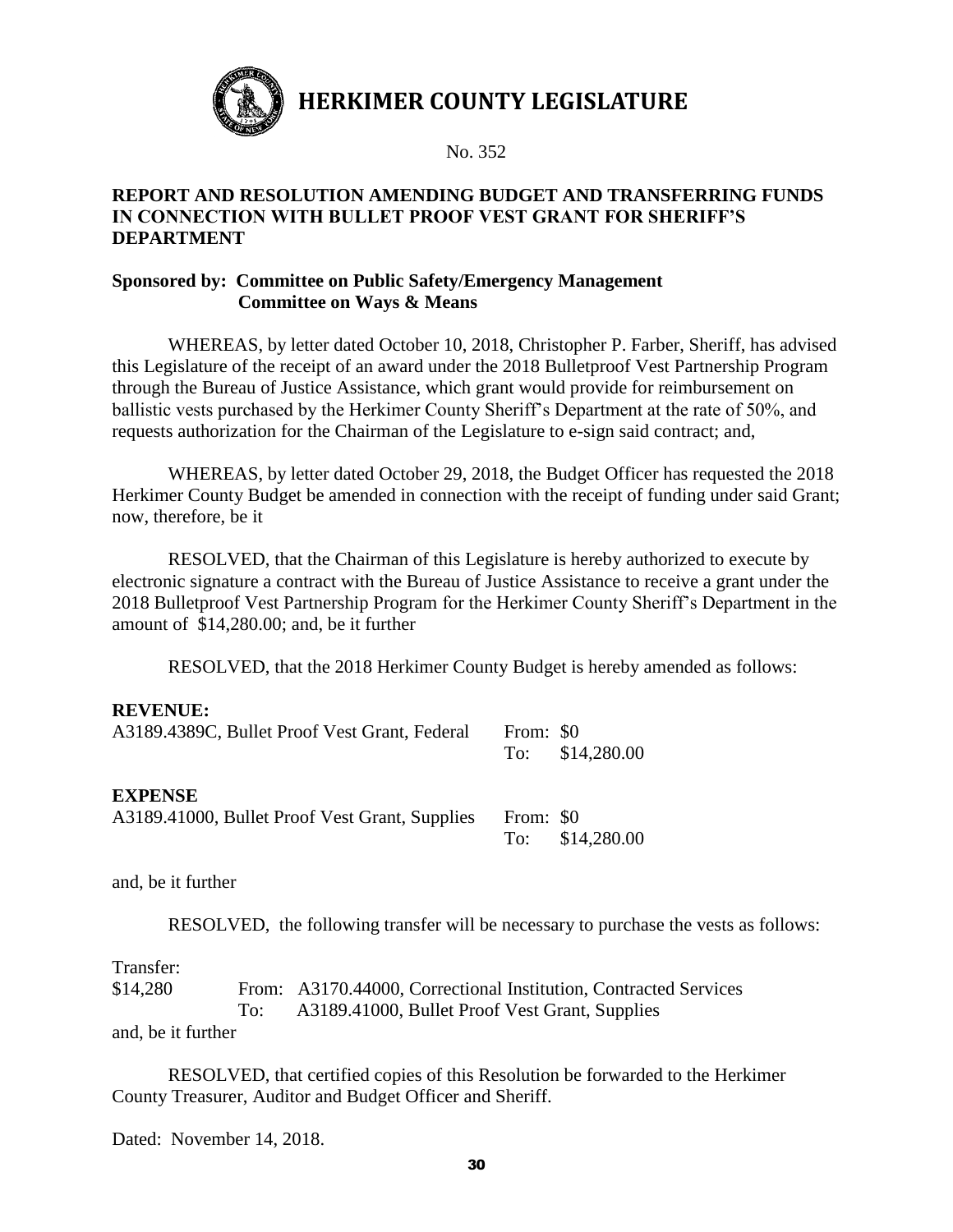

No. 352

#### **REPORT AND RESOLUTION AMENDING BUDGET AND TRANSFERRING FUNDS IN CONNECTION WITH BULLET PROOF VEST GRANT FOR SHERIFF'S DEPARTMENT**

### **Sponsored by: Committee on Public Safety/Emergency Management Committee on Ways & Means**

WHEREAS, by letter dated October 10, 2018, Christopher P. Farber, Sheriff, has advised this Legislature of the receipt of an award under the 2018 Bulletproof Vest Partnership Program through the Bureau of Justice Assistance, which grant would provide for reimbursement on ballistic vests purchased by the Herkimer County Sheriff's Department at the rate of 50%, and requests authorization for the Chairman of the Legislature to e-sign said contract; and,

WHEREAS, by letter dated October 29, 2018, the Budget Officer has requested the 2018 Herkimer County Budget be amended in connection with the receipt of funding under said Grant; now, therefore, be it

RESOLVED, that the Chairman of this Legislature is hereby authorized to execute by electronic signature a contract with the Bureau of Justice Assistance to receive a grant under the 2018 Bulletproof Vest Partnership Program for the Herkimer County Sheriff's Department in the amount of \$14,280.00; and, be it further

RESOLVED, that the 2018 Herkimer County Budget is hereby amended as follows:

#### **REVENUE:**

| A3189.4389C, Bullet Proof Vest Grant, Federal                    | From: \$0 | To: \$14,280.00 |
|------------------------------------------------------------------|-----------|-----------------|
| <b>EXPENSE</b><br>A3189.41000, Bullet Proof Vest Grant, Supplies | From: \$0 | To: \$14,280.00 |

and, be it further

RESOLVED, the following transfer will be necessary to purchase the vests as follows:

#### Transfer:

\$14,280 From: A3170.44000, Correctional Institution, Contracted Services To: A3189.41000, Bullet Proof Vest Grant, Supplies

and, be it further

RESOLVED, that certified copies of this Resolution be forwarded to the Herkimer County Treasurer, Auditor and Budget Officer and Sheriff.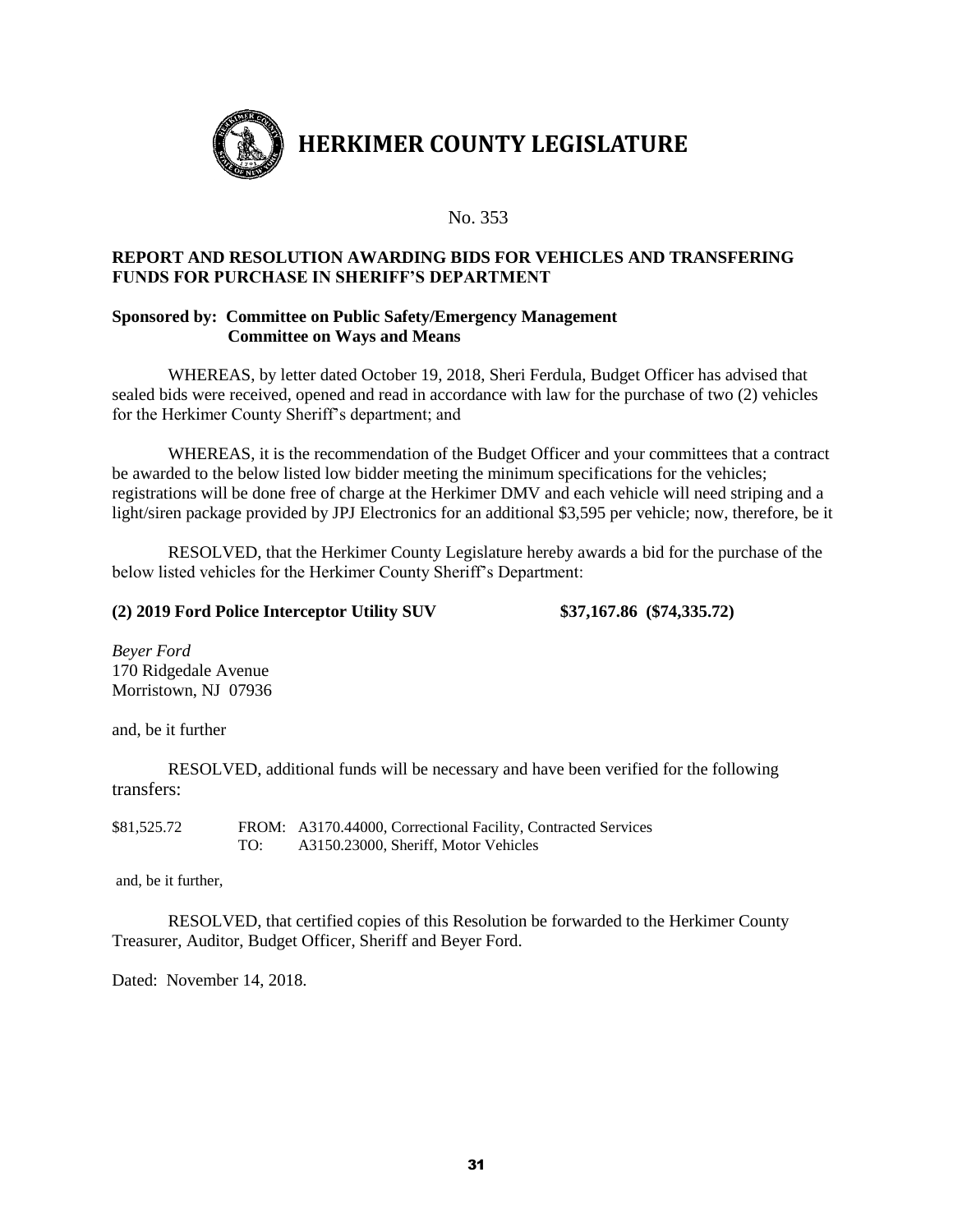

#### **REPORT AND RESOLUTION AWARDING BIDS FOR VEHICLES AND TRANSFERING FUNDS FOR PURCHASE IN SHERIFF'S DEPARTMENT**

#### **Sponsored by: Committee on Public Safety/Emergency Management Committee on Ways and Means**

WHEREAS, by letter dated October 19, 2018, Sheri Ferdula, Budget Officer has advised that sealed bids were received, opened and read in accordance with law for the purchase of two (2) vehicles for the Herkimer County Sheriff's department; and

WHEREAS, it is the recommendation of the Budget Officer and your committees that a contract be awarded to the below listed low bidder meeting the minimum specifications for the vehicles; registrations will be done free of charge at the Herkimer DMV and each vehicle will need striping and a light/siren package provided by JPJ Electronics for an additional \$3,595 per vehicle; now, therefore, be it

RESOLVED, that the Herkimer County Legislature hereby awards a bid for the purchase of the below listed vehicles for the Herkimer County Sheriff's Department:

#### **(2) 2019 Ford Police Interceptor Utility SUV \$37,167.86 (\$74,335.72)**

*Beyer Ford*  170 Ridgedale Avenue Morristown, NJ 07936

and, be it further

RESOLVED, additional funds will be necessary and have been verified for the following transfers:

\$81,525.72 FROM: A3170.44000, Correctional Facility, Contracted Services TO: A3150.23000, Sheriff, Motor Vehicles

and, be it further,

RESOLVED, that certified copies of this Resolution be forwarded to the Herkimer County Treasurer, Auditor, Budget Officer, Sheriff and Beyer Ford.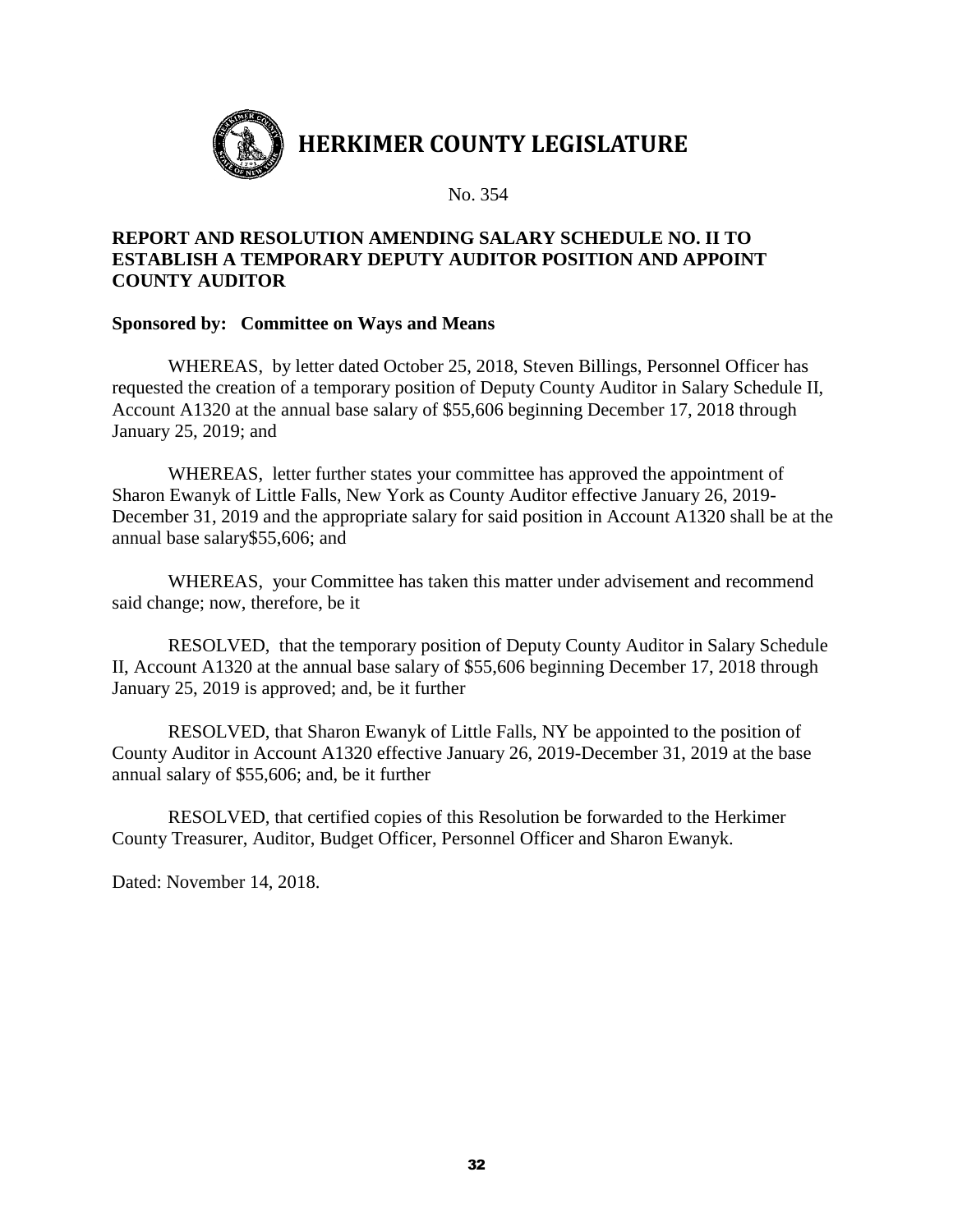

## **REPORT AND RESOLUTION AMENDING SALARY SCHEDULE NO. II TO ESTABLISH A TEMPORARY DEPUTY AUDITOR POSITION AND APPOINT COUNTY AUDITOR**

#### **Sponsored by: Committee on Ways and Means**

WHEREAS, by letter dated October 25, 2018, Steven Billings, Personnel Officer has requested the creation of a temporary position of Deputy County Auditor in Salary Schedule II, Account A1320 at the annual base salary of \$55,606 beginning December 17, 2018 through January 25, 2019; and

WHEREAS, letter further states your committee has approved the appointment of Sharon Ewanyk of Little Falls, New York as County Auditor effective January 26, 2019- December 31, 2019 and the appropriate salary for said position in Account A1320 shall be at the annual base salary\$55,606; and

WHEREAS, your Committee has taken this matter under advisement and recommend said change; now, therefore, be it

RESOLVED, that the temporary position of Deputy County Auditor in Salary Schedule II, Account A1320 at the annual base salary of \$55,606 beginning December 17, 2018 through January 25, 2019 is approved; and, be it further

RESOLVED, that Sharon Ewanyk of Little Falls, NY be appointed to the position of County Auditor in Account A1320 effective January 26, 2019-December 31, 2019 at the base annual salary of \$55,606; and, be it further

RESOLVED, that certified copies of this Resolution be forwarded to the Herkimer County Treasurer, Auditor, Budget Officer, Personnel Officer and Sharon Ewanyk.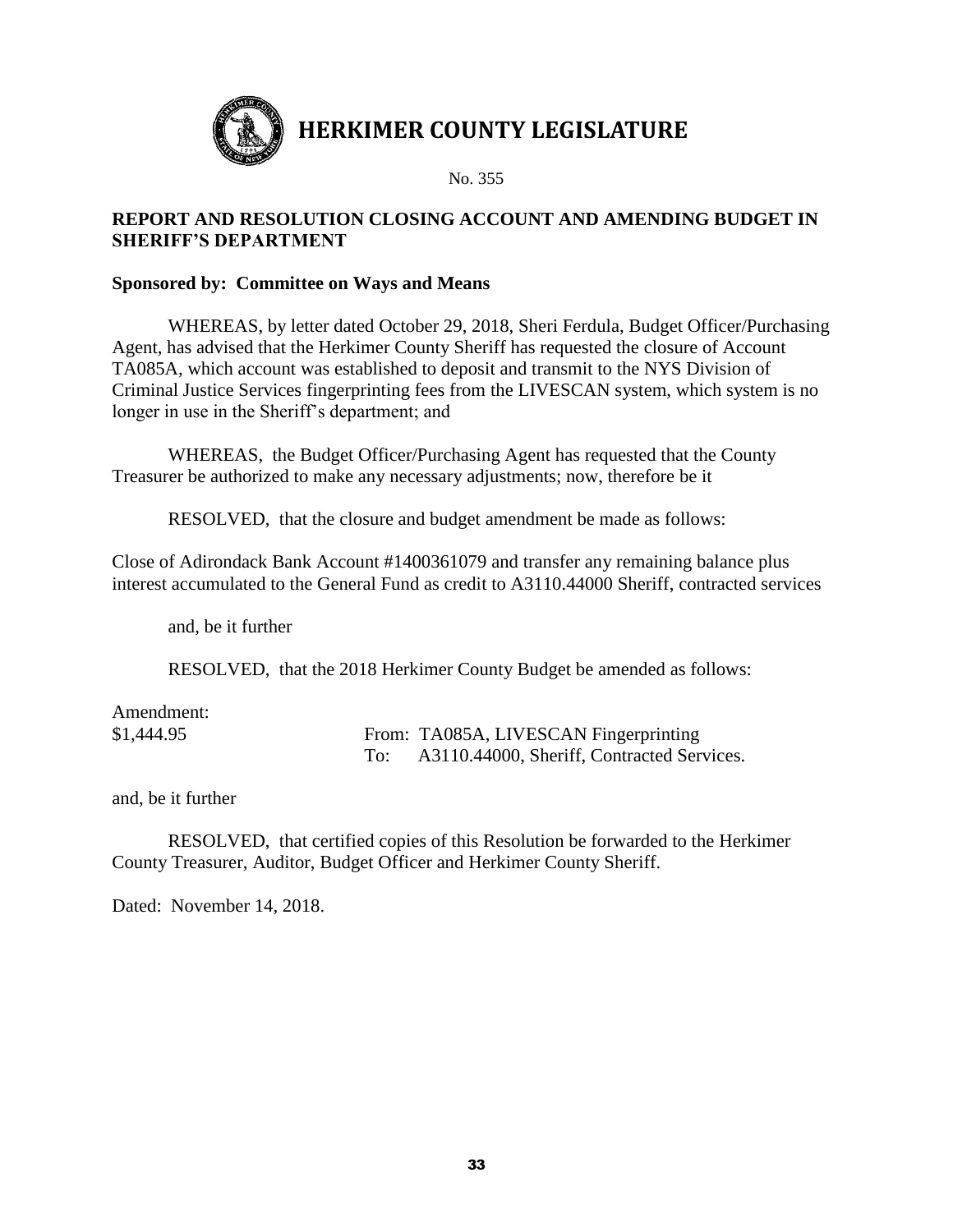

## **REPORT AND RESOLUTION CLOSING ACCOUNT AND AMENDING BUDGET IN SHERIFF'S DEPARTMENT**

#### **Sponsored by: Committee on Ways and Means**

WHEREAS, by letter dated October 29, 2018, Sheri Ferdula, Budget Officer/Purchasing Agent, has advised that the Herkimer County Sheriff has requested the closure of Account TA085A, which account was established to deposit and transmit to the NYS Division of Criminal Justice Services fingerprinting fees from the LIVESCAN system, which system is no longer in use in the Sheriff's department; and

WHEREAS, the Budget Officer/Purchasing Agent has requested that the County Treasurer be authorized to make any necessary adjustments; now, therefore be it

RESOLVED, that the closure and budget amendment be made as follows:

Close of Adirondack Bank Account #1400361079 and transfer any remaining balance plus interest accumulated to the General Fund as credit to A3110.44000 Sheriff, contracted services

and, be it further

RESOLVED, that the 2018 Herkimer County Budget be amended as follows:

| Amendment: |                                            |
|------------|--------------------------------------------|
| \$1,444.95 | From: TA085A, LIVESCAN Fingerprinting      |
|            | A3110.44000, Sheriff, Contracted Services. |

and, be it further

RESOLVED, that certified copies of this Resolution be forwarded to the Herkimer County Treasurer, Auditor, Budget Officer and Herkimer County Sheriff.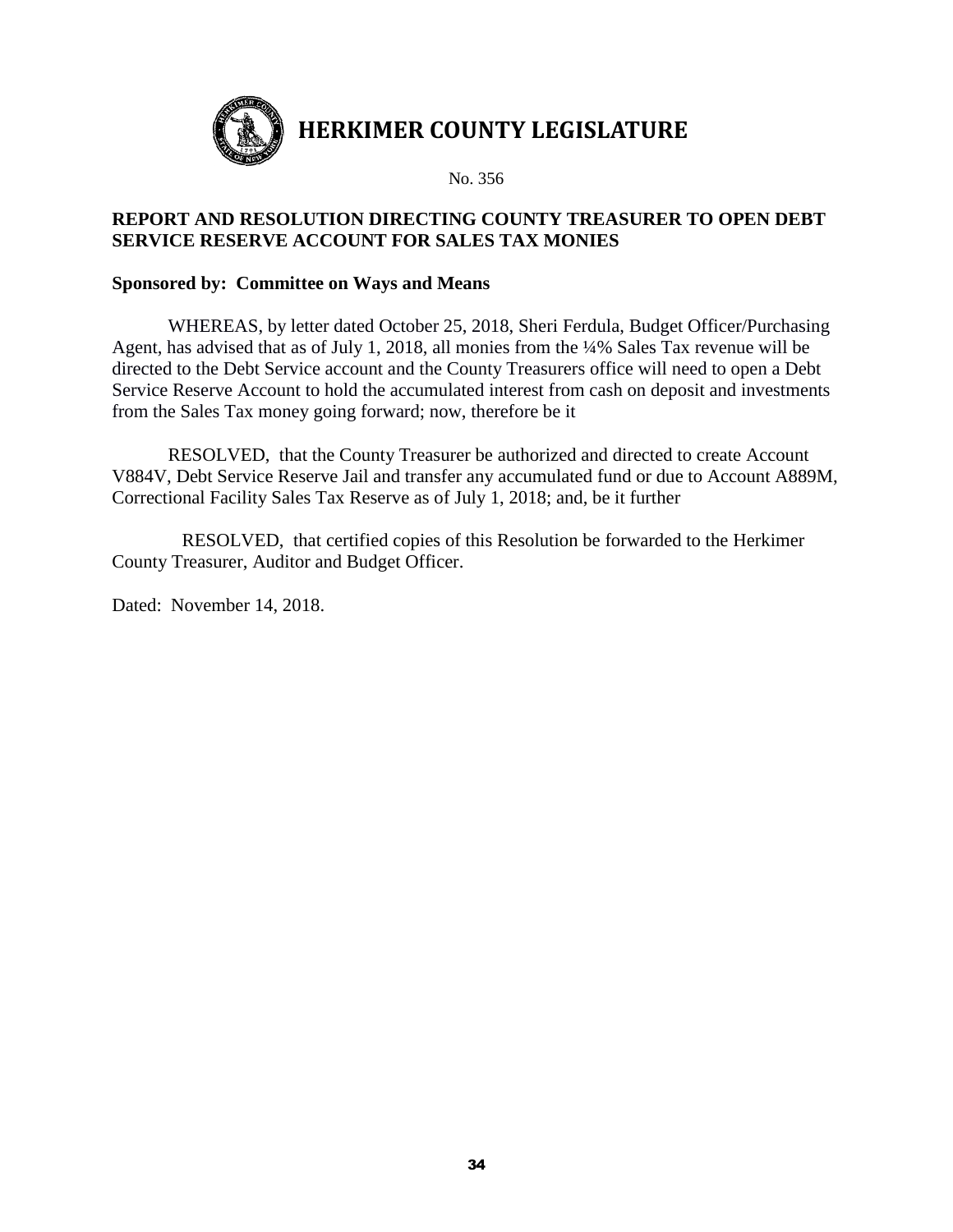

## **REPORT AND RESOLUTION DIRECTING COUNTY TREASURER TO OPEN DEBT SERVICE RESERVE ACCOUNT FOR SALES TAX MONIES**

#### **Sponsored by: Committee on Ways and Means**

WHEREAS, by letter dated October 25, 2018, Sheri Ferdula, Budget Officer/Purchasing Agent, has advised that as of July 1, 2018, all monies from the ¼% Sales Tax revenue will be directed to the Debt Service account and the County Treasurers office will need to open a Debt Service Reserve Account to hold the accumulated interest from cash on deposit and investments from the Sales Tax money going forward; now, therefore be it

 RESOLVED, that the County Treasurer be authorized and directed to create Account V884V, Debt Service Reserve Jail and transfer any accumulated fund or due to Account A889M, Correctional Facility Sales Tax Reserve as of July 1, 2018; and, be it further

RESOLVED, that certified copies of this Resolution be forwarded to the Herkimer County Treasurer, Auditor and Budget Officer.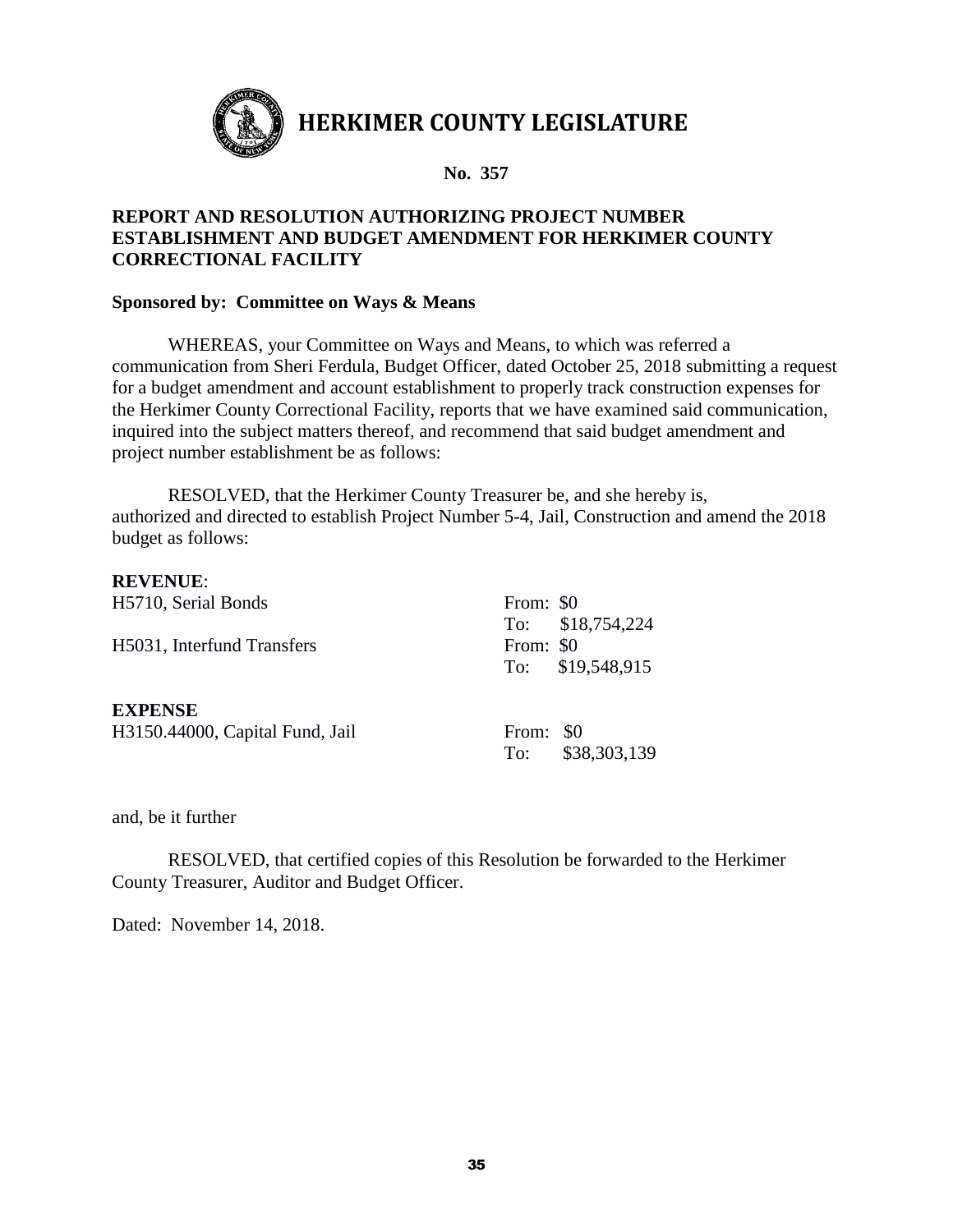

## **REPORT AND RESOLUTION AUTHORIZING PROJECT NUMBER ESTABLISHMENT AND BUDGET AMENDMENT FOR HERKIMER COUNTY CORRECTIONAL FACILITY**

#### **Sponsored by: Committee on Ways & Means**

WHEREAS, your Committee on Ways and Means, to which was referred a communication from Sheri Ferdula, Budget Officer, dated October 25, 2018 submitting a request for a budget amendment and account establishment to properly track construction expenses for the Herkimer County Correctional Facility, reports that we have examined said communication, inquired into the subject matters thereof, and recommend that said budget amendment and project number establishment be as follows:

RESOLVED, that the Herkimer County Treasurer be, and she hereby is, authorized and directed to establish Project Number 5-4, Jail, Construction and amend the 2018 budget as follows:

#### **REVENUE**:

| H5710, Serial Bonds             | From: \$0 |                   |
|---------------------------------|-----------|-------------------|
|                                 |           | To: $$18,754,224$ |
| H5031, Interfund Transfers      | From: \$0 |                   |
|                                 |           | To: \$19,548,915  |
|                                 |           |                   |
| <b>EXPENSE</b>                  |           |                   |
| H3150.44000, Capital Fund, Jail | From: \$0 |                   |
|                                 |           | To: \$38,303,139  |

and, be it further

RESOLVED, that certified copies of this Resolution be forwarded to the Herkimer County Treasurer, Auditor and Budget Officer.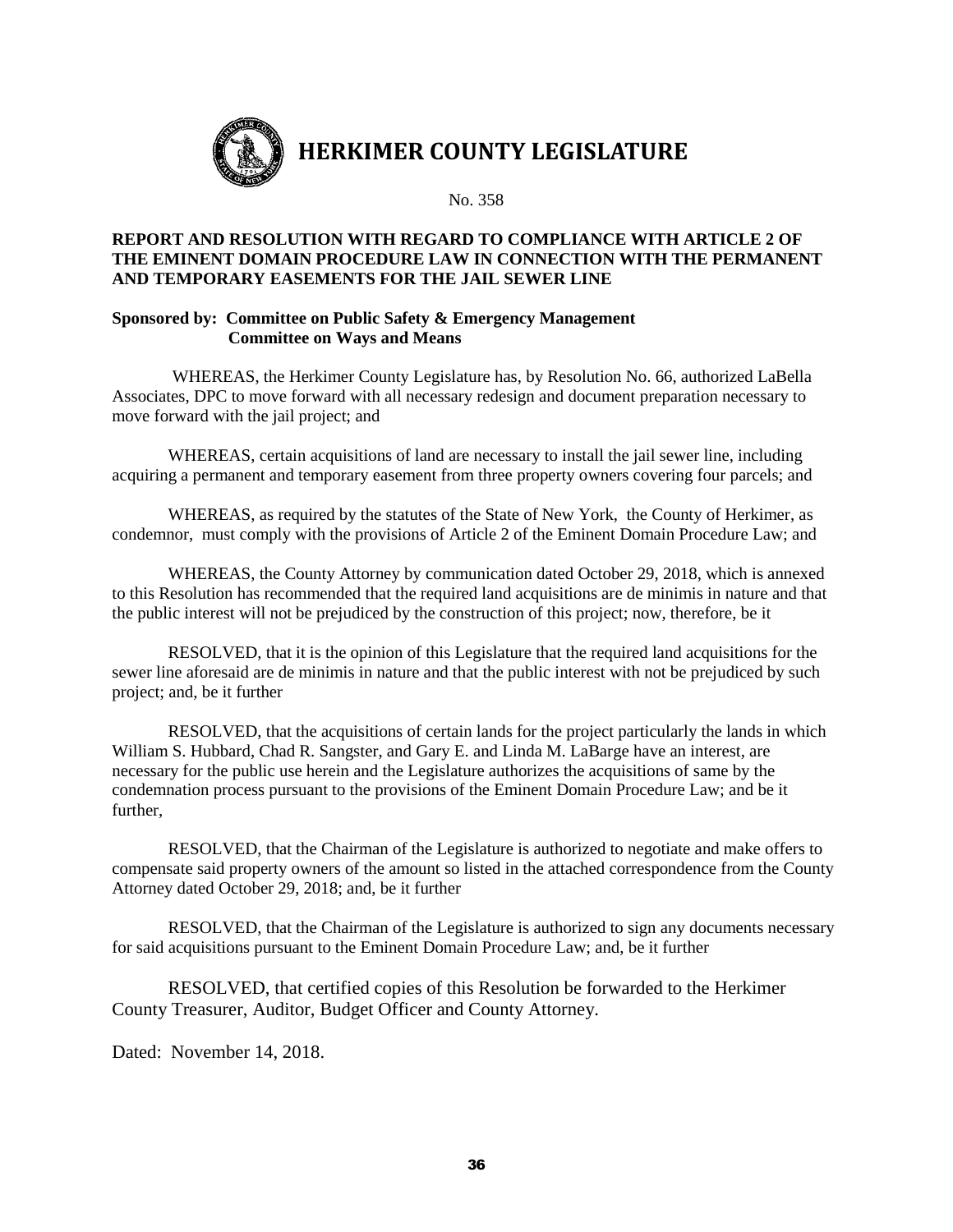

#### **REPORT AND RESOLUTION WITH REGARD TO COMPLIANCE WITH ARTICLE 2 OF THE EMINENT DOMAIN PROCEDURE LAW IN CONNECTION WITH THE PERMANENT AND TEMPORARY EASEMENTS FOR THE JAIL SEWER LINE**

#### **Sponsored by: Committee on Public Safety & Emergency Management Committee on Ways and Means**

WHEREAS, the Herkimer County Legislature has, by Resolution No. 66, authorized LaBella Associates, DPC to move forward with all necessary redesign and document preparation necessary to move forward with the jail project; and

WHEREAS, certain acquisitions of land are necessary to install the jail sewer line, including acquiring a permanent and temporary easement from three property owners covering four parcels; and

WHEREAS, as required by the statutes of the State of New York, the County of Herkimer, as condemnor, must comply with the provisions of Article 2 of the Eminent Domain Procedure Law; and

WHEREAS, the County Attorney by communication dated October 29, 2018, which is annexed to this Resolution has recommended that the required land acquisitions are de minimis in nature and that the public interest will not be prejudiced by the construction of this project; now, therefore, be it

RESOLVED, that it is the opinion of this Legislature that the required land acquisitions for the sewer line aforesaid are de minimis in nature and that the public interest with not be prejudiced by such project; and, be it further

RESOLVED, that the acquisitions of certain lands for the project particularly the lands in which William S. Hubbard, Chad R. Sangster, and Gary E. and Linda M. LaBarge have an interest, are necessary for the public use herein and the Legislature authorizes the acquisitions of same by the condemnation process pursuant to the provisions of the Eminent Domain Procedure Law; and be it further,

RESOLVED, that the Chairman of the Legislature is authorized to negotiate and make offers to compensate said property owners of the amount so listed in the attached correspondence from the County Attorney dated October 29, 2018; and, be it further

RESOLVED, that the Chairman of the Legislature is authorized to sign any documents necessary for said acquisitions pursuant to the Eminent Domain Procedure Law; and, be it further

RESOLVED, that certified copies of this Resolution be forwarded to the Herkimer County Treasurer, Auditor, Budget Officer and County Attorney.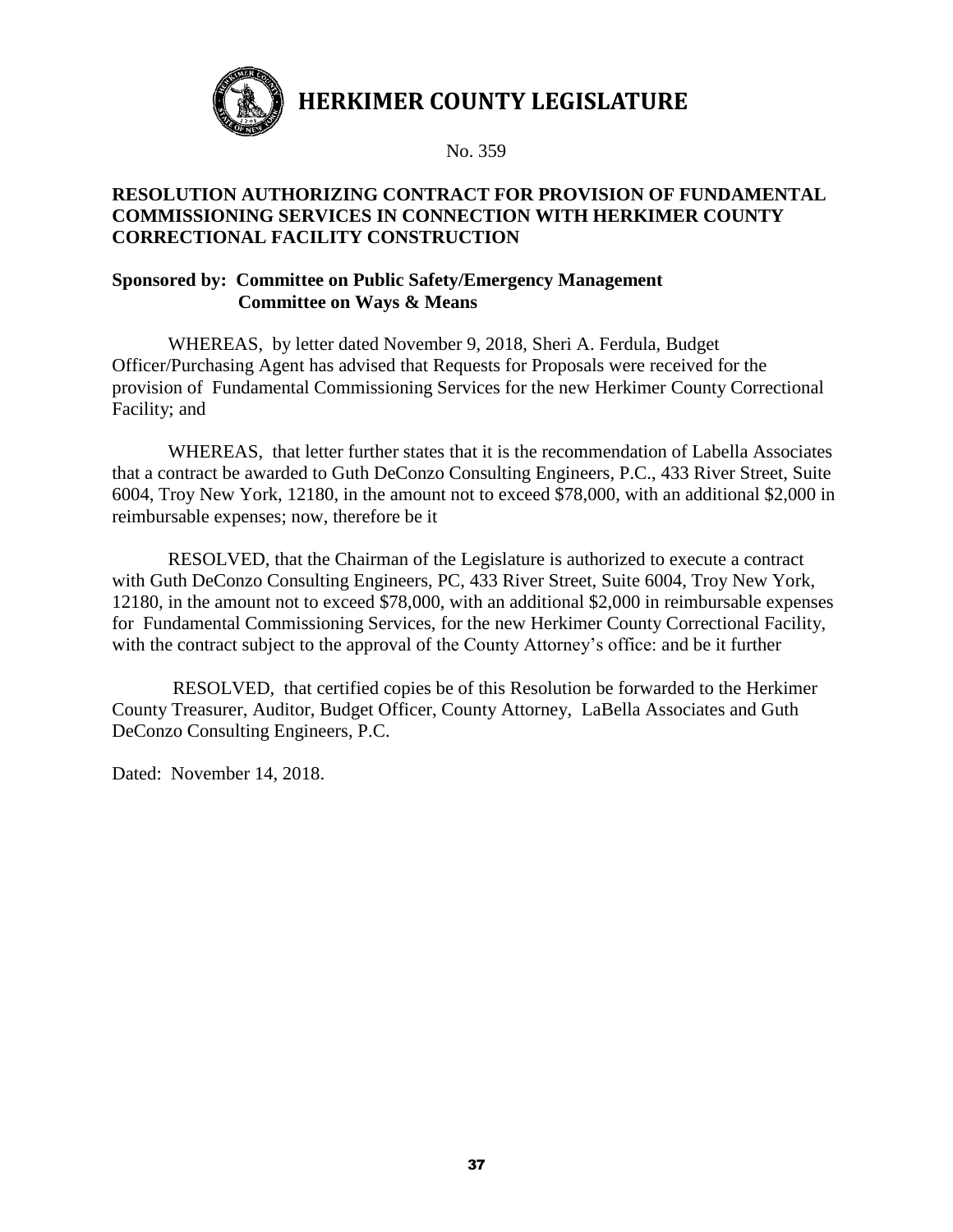

No. 359

## **RESOLUTION AUTHORIZING CONTRACT FOR PROVISION OF FUNDAMENTAL COMMISSIONING SERVICES IN CONNECTION WITH HERKIMER COUNTY CORRECTIONAL FACILITY CONSTRUCTION**

#### **Sponsored by: Committee on Public Safety/Emergency Management Committee on Ways & Means**

WHEREAS, by letter dated November 9, 2018, Sheri A. Ferdula, Budget Officer/Purchasing Agent has advised that Requests for Proposals were received for the provision of Fundamental Commissioning Services for the new Herkimer County Correctional Facility; and

WHEREAS, that letter further states that it is the recommendation of Labella Associates that a contract be awarded to Guth DeConzo Consulting Engineers, P.C., 433 River Street, Suite 6004, Troy New York, 12180, in the amount not to exceed \$78,000, with an additional \$2,000 in reimbursable expenses; now, therefore be it

RESOLVED, that the Chairman of the Legislature is authorized to execute a contract with Guth DeConzo Consulting Engineers, PC, 433 River Street, Suite 6004, Troy New York, 12180, in the amount not to exceed \$78,000, with an additional \$2,000 in reimbursable expenses for Fundamental Commissioning Services, for the new Herkimer County Correctional Facility, with the contract subject to the approval of the County Attorney's office: and be it further

RESOLVED, that certified copies be of this Resolution be forwarded to the Herkimer County Treasurer, Auditor, Budget Officer, County Attorney, LaBella Associates and Guth DeConzo Consulting Engineers, P.C.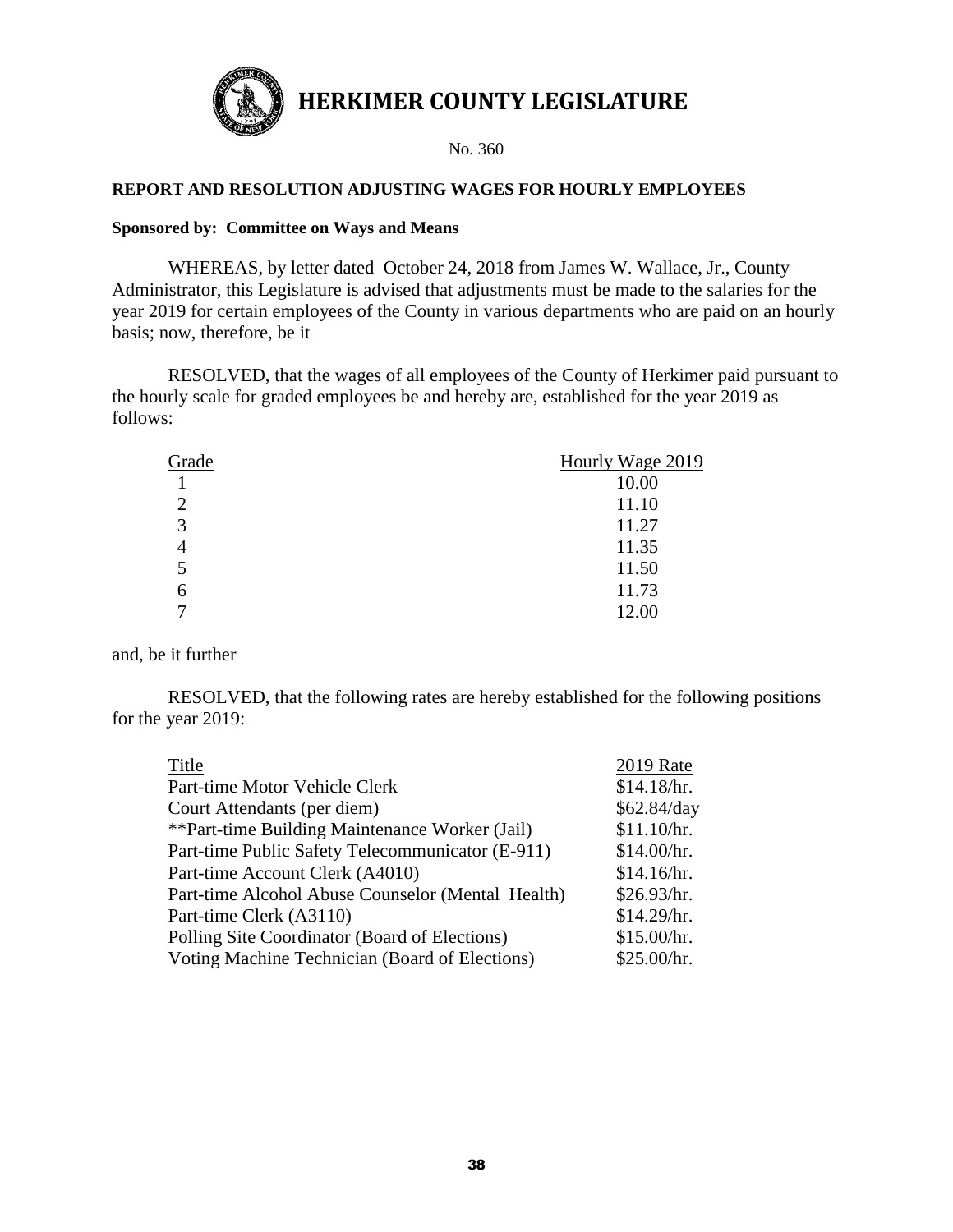

#### **REPORT AND RESOLUTION ADJUSTING WAGES FOR HOURLY EMPLOYEES**

#### **Sponsored by: Committee on Ways and Means**

WHEREAS, by letter dated October 24, 2018 from James W. Wallace, Jr., County Administrator, this Legislature is advised that adjustments must be made to the salaries for the year 2019 for certain employees of the County in various departments who are paid on an hourly basis; now, therefore, be it

RESOLVED, that the wages of all employees of the County of Herkimer paid pursuant to the hourly scale for graded employees be and hereby are, established for the year 2019 as follows:

| Grade          | Hourly Wage 2019 |
|----------------|------------------|
|                | 10.00            |
| $\overline{2}$ | 11.10            |
| 3              | 11.27            |
| 4              | 11.35            |
| 5              | 11.50            |
| 6              | 11.73            |
| ⇁              | 12.00            |

and, be it further

RESOLVED, that the following rates are hereby established for the following positions for the year 2019:

| Title                                             | <b>2019 Rate</b> |
|---------------------------------------------------|------------------|
| Part-time Motor Vehicle Clerk                     | \$14.18/hr.      |
| Court Attendants (per diem)                       | \$62.84/day      |
| **Part-time Building Maintenance Worker (Jail)    | \$11.10/hr.      |
| Part-time Public Safety Telecommunicator (E-911)  | \$14.00/hr.      |
| Part-time Account Clerk (A4010)                   | \$14.16/hr.      |
| Part-time Alcohol Abuse Counselor (Mental Health) | \$26.93/hr.      |
| Part-time Clerk (A3110)                           | \$14.29/hr.      |
| Polling Site Coordinator (Board of Elections)     | \$15.00/hr.      |
| Voting Machine Technician (Board of Elections)    | \$25.00/hr.      |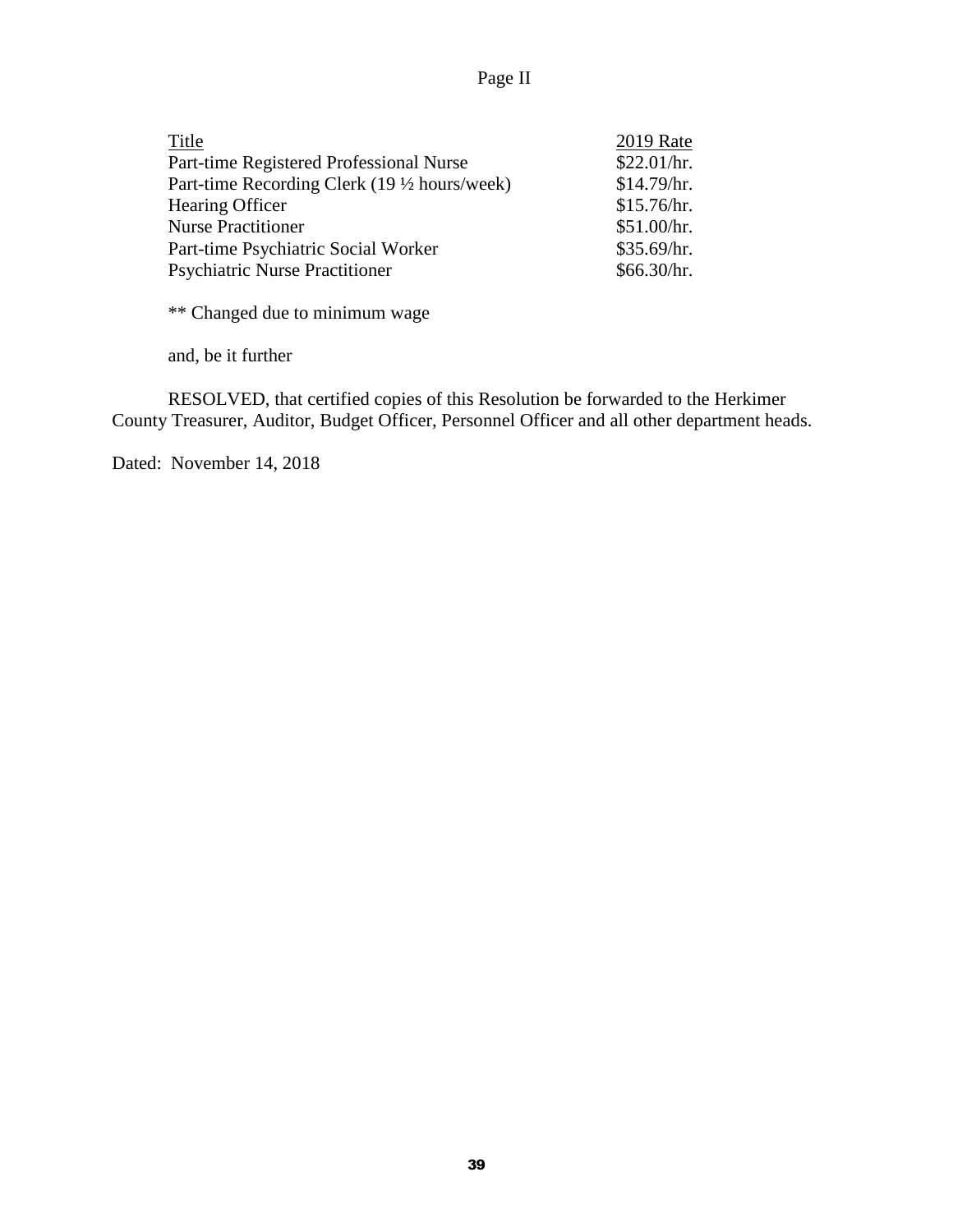# Page II

| Title                                       | <b>2019 Rate</b> |
|---------------------------------------------|------------------|
| Part-time Registered Professional Nurse     | \$22.01/hr.      |
| Part-time Recording Clerk (19 ½ hours/week) | \$14.79/hr.      |
| Hearing Officer                             | \$15.76/hr.      |
| <b>Nurse Practitioner</b>                   | \$51.00/hr.      |
| Part-time Psychiatric Social Worker         | \$35.69/hr.      |
| <b>Psychiatric Nurse Practitioner</b>       | \$66.30/hr.      |

\*\* Changed due to minimum wage

and, be it further

RESOLVED, that certified copies of this Resolution be forwarded to the Herkimer County Treasurer, Auditor, Budget Officer, Personnel Officer and all other department heads.

Dated: November 14, 2018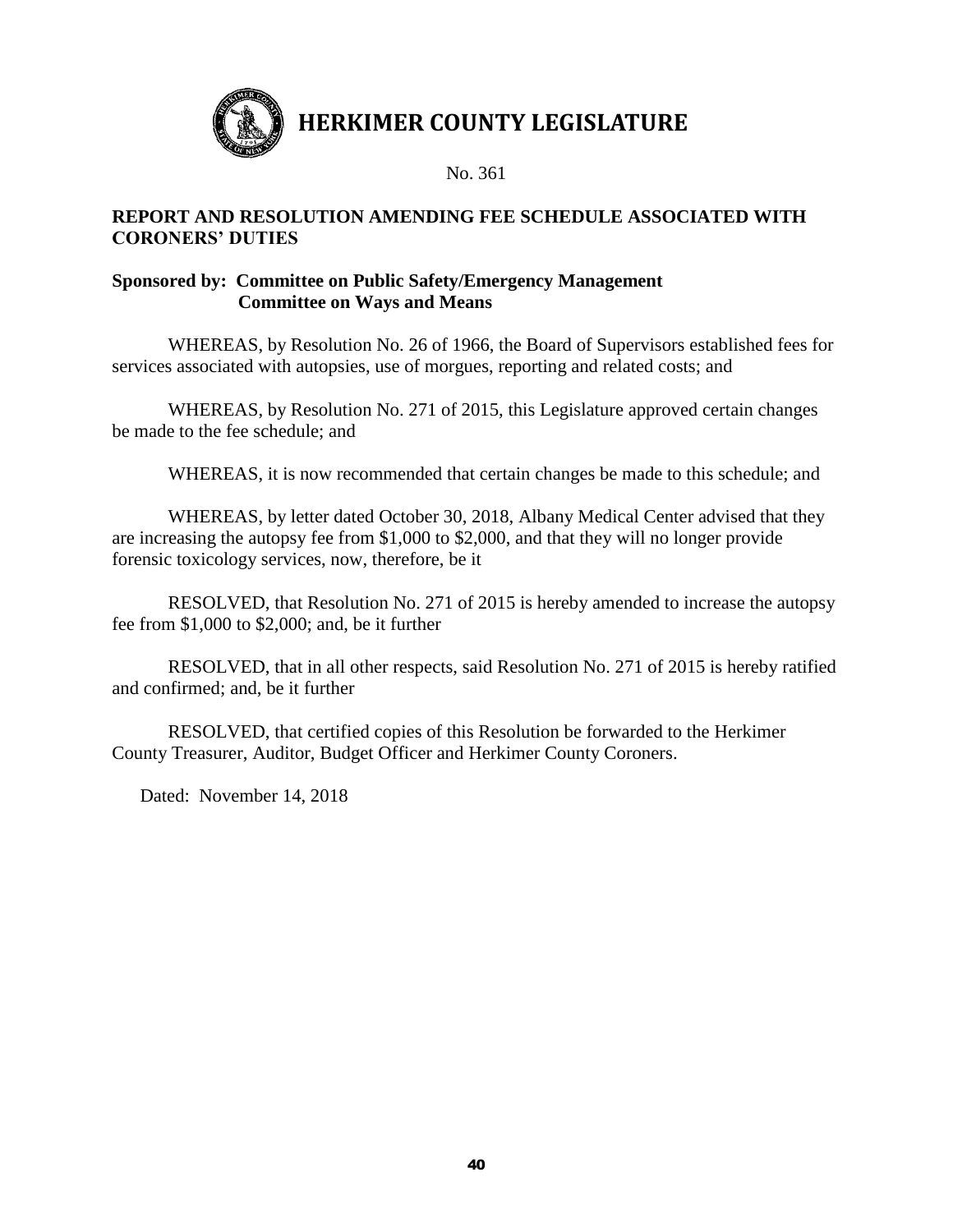

No. 361

#### **REPORT AND RESOLUTION AMENDING FEE SCHEDULE ASSOCIATED WITH CORONERS' DUTIES**

## **Sponsored by: Committee on Public Safety/Emergency Management Committee on Ways and Means**

WHEREAS, by Resolution No. 26 of 1966, the Board of Supervisors established fees for services associated with autopsies, use of morgues, reporting and related costs; and

WHEREAS, by Resolution No. 271 of 2015, this Legislature approved certain changes be made to the fee schedule; and

WHEREAS, it is now recommended that certain changes be made to this schedule; and

WHEREAS, by letter dated October 30, 2018, Albany Medical Center advised that they are increasing the autopsy fee from \$1,000 to \$2,000, and that they will no longer provide forensic toxicology services, now, therefore, be it

RESOLVED, that Resolution No. 271 of 2015 is hereby amended to increase the autopsy fee from \$1,000 to \$2,000; and, be it further

RESOLVED, that in all other respects, said Resolution No. 271 of 2015 is hereby ratified and confirmed; and, be it further

RESOLVED, that certified copies of this Resolution be forwarded to the Herkimer County Treasurer, Auditor, Budget Officer and Herkimer County Coroners.

Dated: November 14, 2018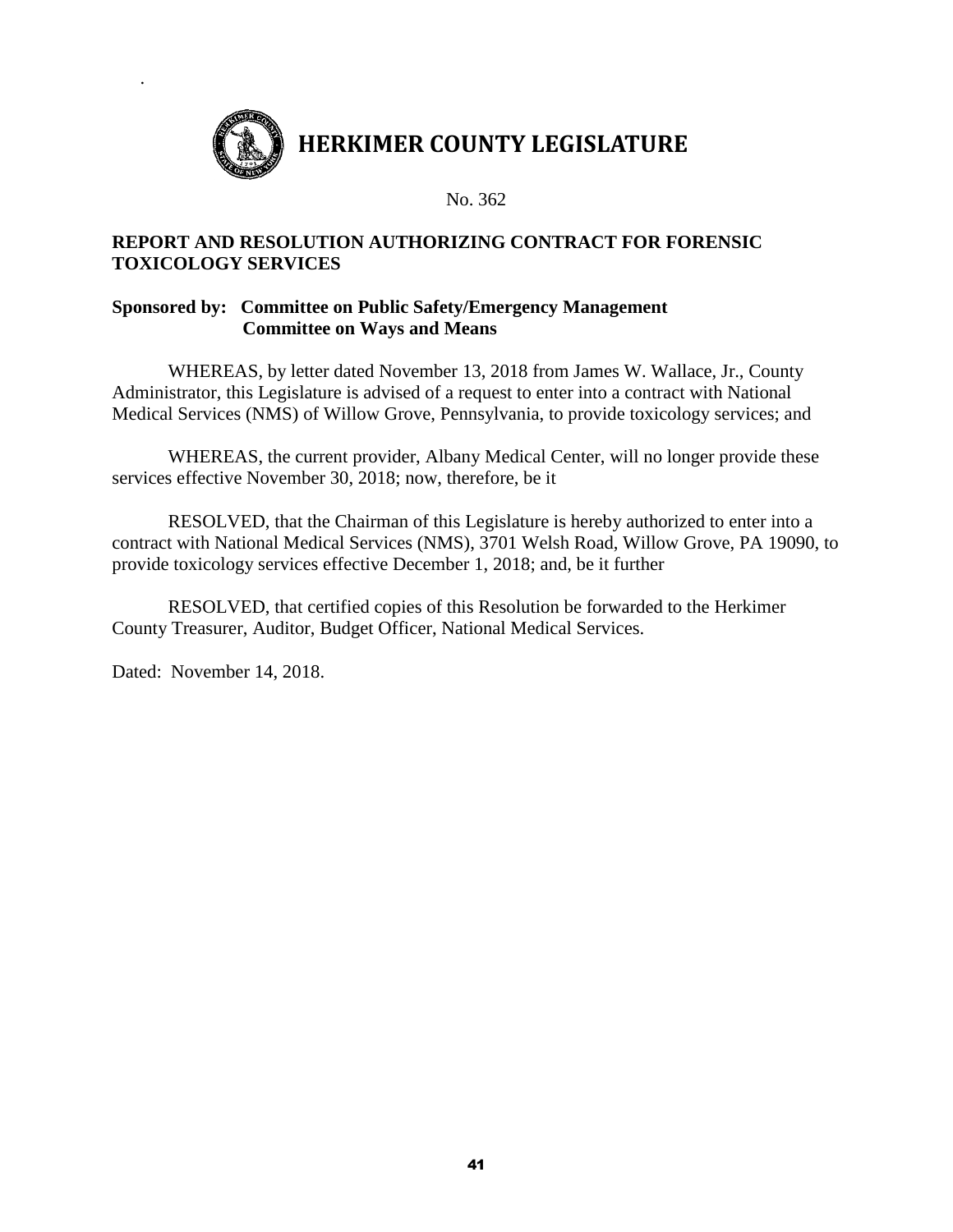

## **REPORT AND RESOLUTION AUTHORIZING CONTRACT FOR FORENSIC TOXICOLOGY SERVICES**

## **Sponsored by: Committee on Public Safety/Emergency Management Committee on Ways and Means**

WHEREAS, by letter dated November 13, 2018 from James W. Wallace, Jr., County Administrator, this Legislature is advised of a request to enter into a contract with National Medical Services (NMS) of Willow Grove, Pennsylvania, to provide toxicology services; and

WHEREAS, the current provider, Albany Medical Center, will no longer provide these services effective November 30, 2018; now, therefore, be it

RESOLVED, that the Chairman of this Legislature is hereby authorized to enter into a contract with National Medical Services (NMS), 3701 Welsh Road, Willow Grove, PA 19090, to provide toxicology services effective December 1, 2018; and, be it further

RESOLVED, that certified copies of this Resolution be forwarded to the Herkimer County Treasurer, Auditor, Budget Officer, National Medical Services.

Dated: November 14, 2018.

.